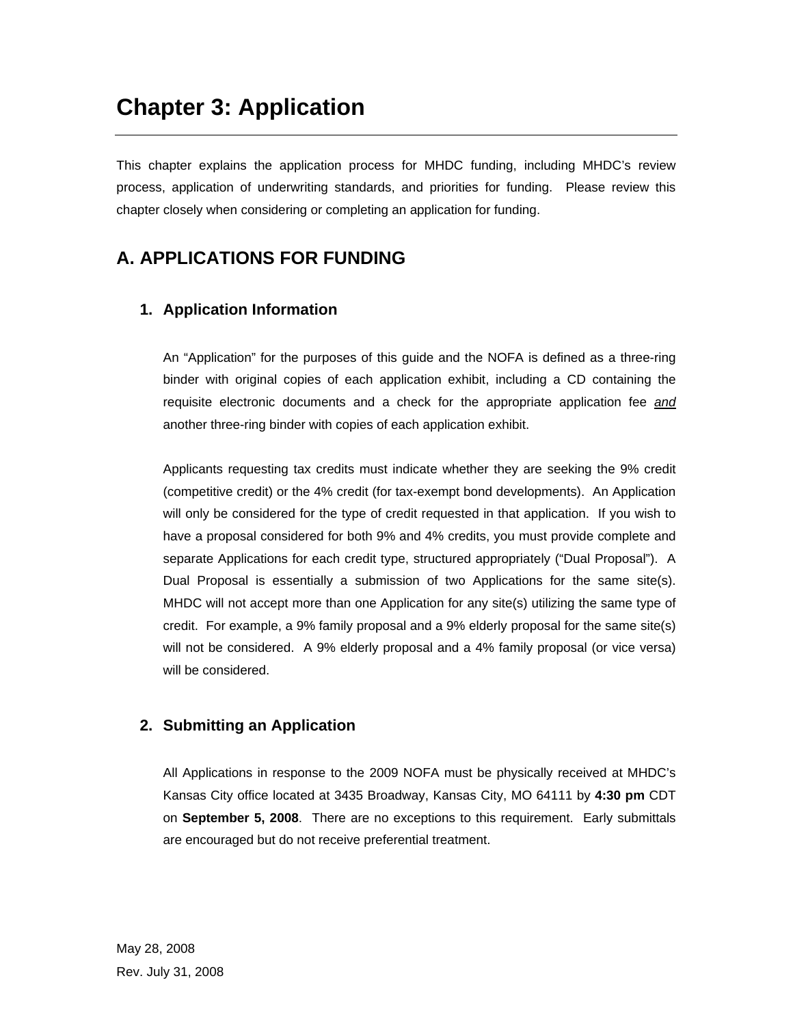# **Chapter 3: Application**

This chapter explains the application process for MHDC funding, including MHDC's review process, application of underwriting standards, and priorities for funding. Please review this chapter closely when considering or completing an application for funding.

## **A. APPLICATIONS FOR FUNDING**

## **1. Application Information**

An "Application" for the purposes of this guide and the NOFA is defined as a three-ring binder with original copies of each application exhibit, including a CD containing the requisite electronic documents and a check for the appropriate application fee *and* another three-ring binder with copies of each application exhibit.

Applicants requesting tax credits must indicate whether they are seeking the 9% credit (competitive credit) or the 4% credit (for tax-exempt bond developments). An Application will only be considered for the type of credit requested in that application. If you wish to have a proposal considered for both 9% and 4% credits, you must provide complete and separate Applications for each credit type, structured appropriately ("Dual Proposal"). A Dual Proposal is essentially a submission of two Applications for the same site(s). MHDC will not accept more than one Application for any site(s) utilizing the same type of credit. For example, a 9% family proposal and a 9% elderly proposal for the same site(s) will not be considered. A 9% elderly proposal and a 4% family proposal (or vice versa) will be considered.

## **2. Submitting an Application**

All Applications in response to the 2009 NOFA must be physically received at MHDC's Kansas City office located at 3435 Broadway, Kansas City, MO 64111 by **4:30 pm** CDT on **September 5, 2008**. There are no exceptions to this requirement. Early submittals are encouraged but do not receive preferential treatment.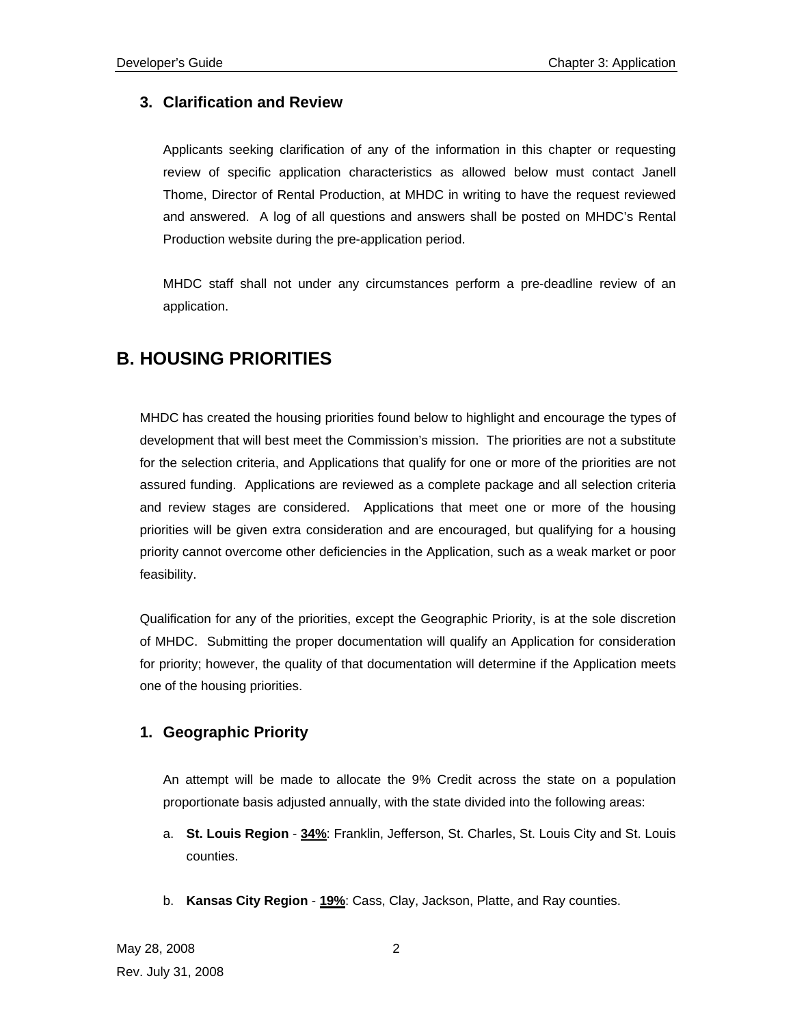## **3. Clarification and Review**

Applicants seeking clarification of any of the information in this chapter or requesting review of specific application characteristics as allowed below must contact Janell Thome, Director of Rental Production, at MHDC in writing to have the request reviewed and answered. A log of all questions and answers shall be posted on MHDC's Rental Production website during the pre-application period.

MHDC staff shall not under any circumstances perform a pre-deadline review of an application.

## **B. HOUSING PRIORITIES**

MHDC has created the housing priorities found below to highlight and encourage the types of development that will best meet the Commission's mission. The priorities are not a substitute for the selection criteria, and Applications that qualify for one or more of the priorities are not assured funding. Applications are reviewed as a complete package and all selection criteria and review stages are considered. Applications that meet one or more of the housing priorities will be given extra consideration and are encouraged, but qualifying for a housing priority cannot overcome other deficiencies in the Application, such as a weak market or poor feasibility.

Qualification for any of the priorities, except the Geographic Priority, is at the sole discretion of MHDC. Submitting the proper documentation will qualify an Application for consideration for priority; however, the quality of that documentation will determine if the Application meets one of the housing priorities.

## **1. Geographic Priority**

An attempt will be made to allocate the 9% Credit across the state on a population proportionate basis adjusted annually, with the state divided into the following areas:

- a. **St. Louis Region 34%**: Franklin, Jefferson, St. Charles, St. Louis City and St. Louis counties.
- b. **Kansas City Region 19%**: Cass, Clay, Jackson, Platte, and Ray counties.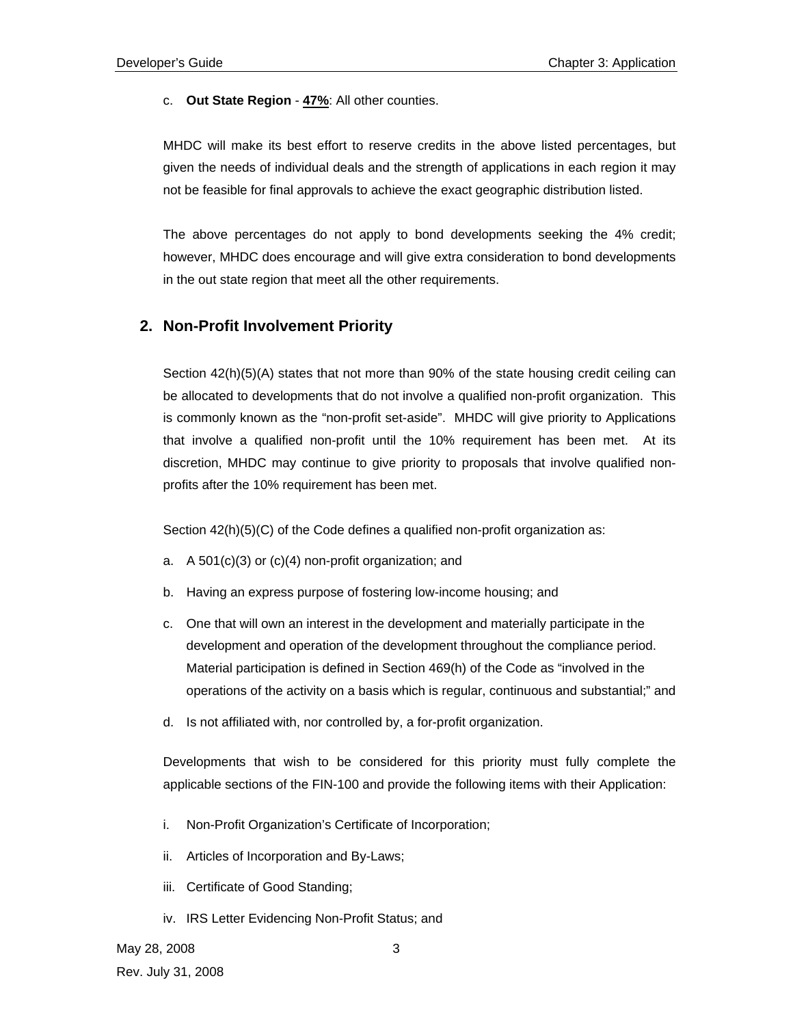#### c. **Out State Region** - **47%**: All other counties.

MHDC will make its best effort to reserve credits in the above listed percentages, but given the needs of individual deals and the strength of applications in each region it may not be feasible for final approvals to achieve the exact geographic distribution listed.

The above percentages do not apply to bond developments seeking the 4% credit; however, MHDC does encourage and will give extra consideration to bond developments in the out state region that meet all the other requirements.

## **2. Non-Profit Involvement Priority**

Section 42(h)(5)(A) states that not more than 90% of the state housing credit ceiling can be allocated to developments that do not involve a qualified non-profit organization. This is commonly known as the "non-profit set-aside". MHDC will give priority to Applications that involve a qualified non-profit until the 10% requirement has been met. At its discretion, MHDC may continue to give priority to proposals that involve qualified nonprofits after the 10% requirement has been met.

Section 42(h)(5)(C) of the Code defines a qualified non-profit organization as:

- a. A 501(c)(3) or (c)(4) non-profit organization; and
- b. Having an express purpose of fostering low-income housing; and
- c. One that will own an interest in the development and materially participate in the development and operation of the development throughout the compliance period. Material participation is defined in Section 469(h) of the Code as "involved in the operations of the activity on a basis which is regular, continuous and substantial;" and
- d. Is not affiliated with, nor controlled by, a for-profit organization.

Developments that wish to be considered for this priority must fully complete the applicable sections of the FIN-100 and provide the following items with their Application:

- i. Non-Profit Organization's Certificate of Incorporation;
- ii. Articles of Incorporation and By-Laws;
- iii. Certificate of Good Standing;
- iv. IRS Letter Evidencing Non-Profit Status; and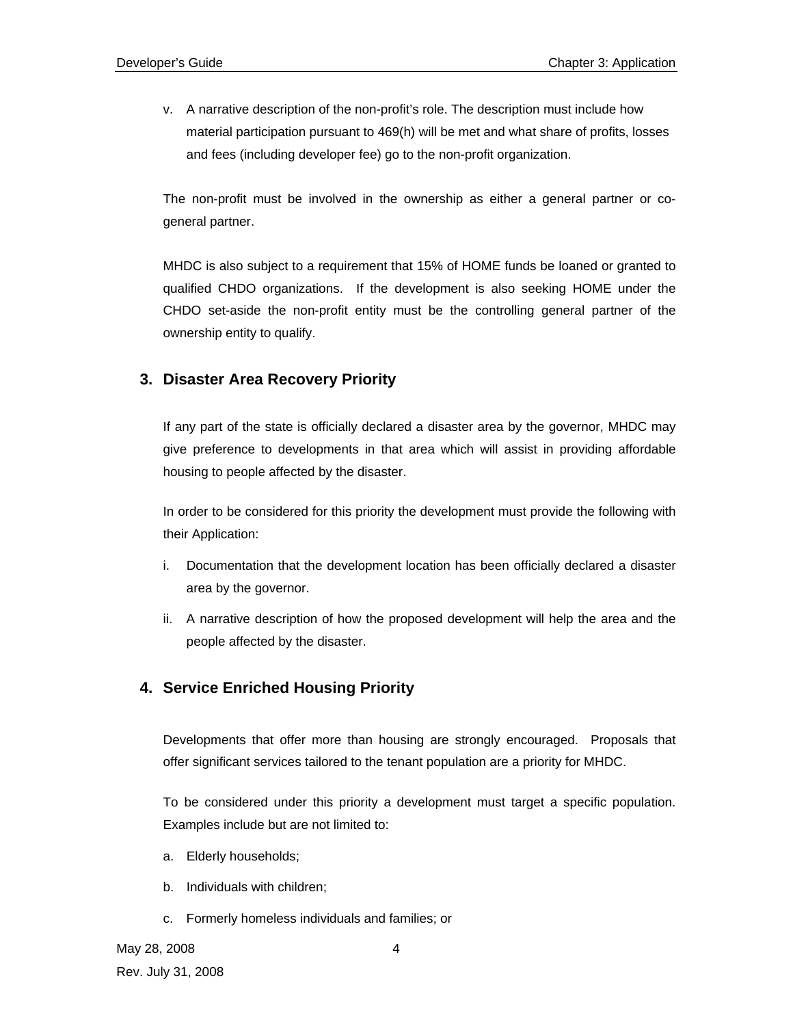v. A narrative description of the non-profit's role. The description must include how material participation pursuant to 469(h) will be met and what share of profits, losses and fees (including developer fee) go to the non-profit organization.

The non-profit must be involved in the ownership as either a general partner or cogeneral partner.

MHDC is also subject to a requirement that 15% of HOME funds be loaned or granted to qualified CHDO organizations. If the development is also seeking HOME under the CHDO set-aside the non-profit entity must be the controlling general partner of the ownership entity to qualify.

## **3. Disaster Area Recovery Priority**

If any part of the state is officially declared a disaster area by the governor, MHDC may give preference to developments in that area which will assist in providing affordable housing to people affected by the disaster.

In order to be considered for this priority the development must provide the following with their Application:

- i. Documentation that the development location has been officially declared a disaster area by the governor.
- ii. A narrative description of how the proposed development will help the area and the people affected by the disaster.

## **4. Service Enriched Housing Priority**

Developments that offer more than housing are strongly encouraged. Proposals that offer significant services tailored to the tenant population are a priority for MHDC.

To be considered under this priority a development must target a specific population. Examples include but are not limited to:

- a. Elderly households;
- b. Individuals with children;
- c. Formerly homeless individuals and families; or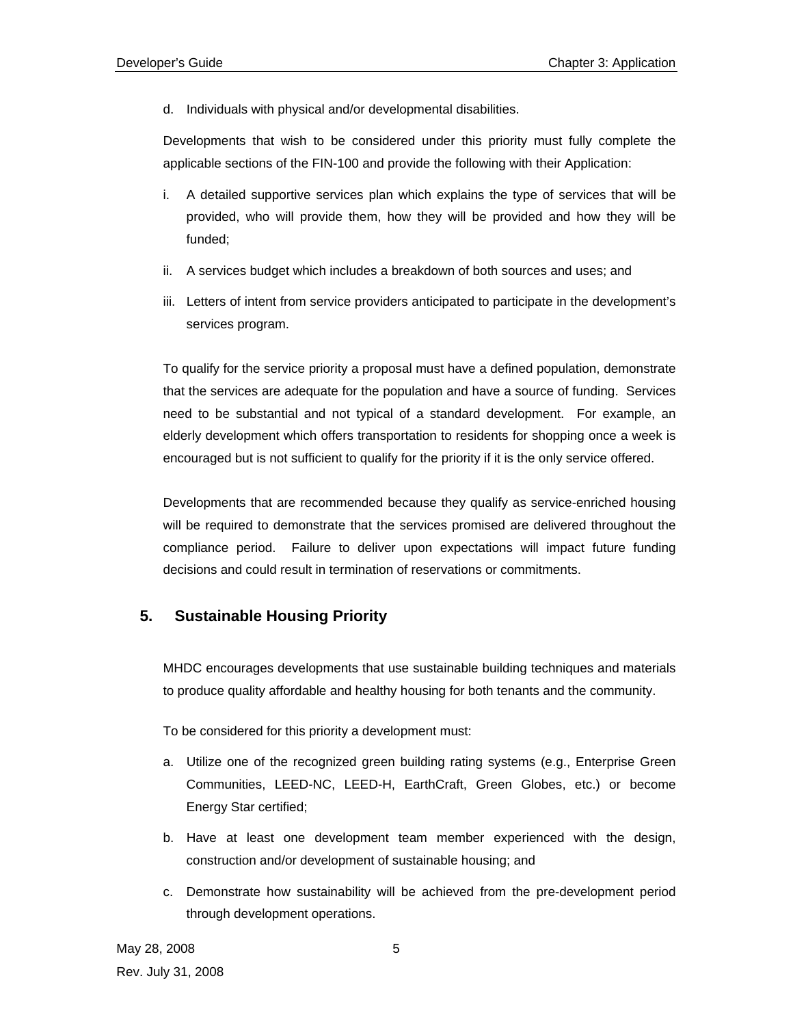d. Individuals with physical and/or developmental disabilities.

Developments that wish to be considered under this priority must fully complete the applicable sections of the FIN-100 and provide the following with their Application:

- i. A detailed supportive services plan which explains the type of services that will be provided, who will provide them, how they will be provided and how they will be funded;
- ii. A services budget which includes a breakdown of both sources and uses; and
- iii. Letters of intent from service providers anticipated to participate in the development's services program.

To qualify for the service priority a proposal must have a defined population, demonstrate that the services are adequate for the population and have a source of funding. Services need to be substantial and not typical of a standard development. For example, an elderly development which offers transportation to residents for shopping once a week is encouraged but is not sufficient to qualify for the priority if it is the only service offered.

Developments that are recommended because they qualify as service-enriched housing will be required to demonstrate that the services promised are delivered throughout the compliance period. Failure to deliver upon expectations will impact future funding decisions and could result in termination of reservations or commitments.

## **5. Sustainable Housing Priority**

MHDC encourages developments that use sustainable building techniques and materials to produce quality affordable and healthy housing for both tenants and the community.

To be considered for this priority a development must:

- a. Utilize one of the recognized green building rating systems (e.g., Enterprise Green Communities, LEED-NC, LEED-H, EarthCraft, Green Globes, etc.) or become Energy Star certified;
- b. Have at least one development team member experienced with the design, construction and/or development of sustainable housing; and
- c. Demonstrate how sustainability will be achieved from the pre-development period through development operations.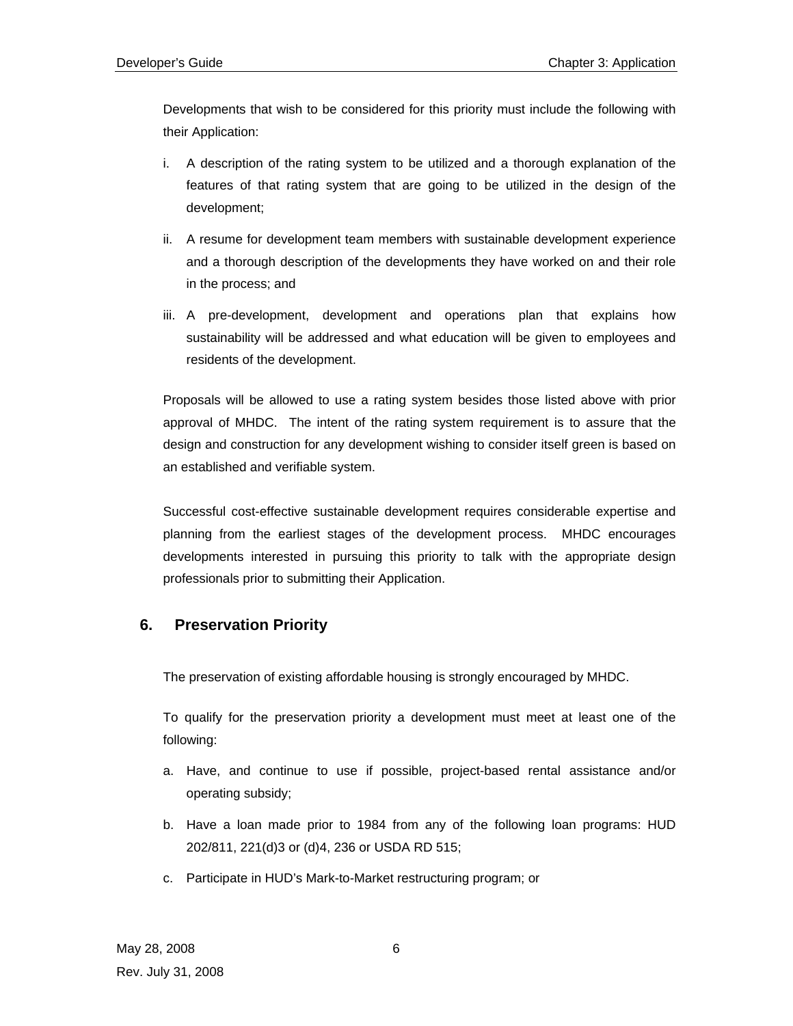Developments that wish to be considered for this priority must include the following with their Application:

- i. A description of the rating system to be utilized and a thorough explanation of the features of that rating system that are going to be utilized in the design of the development;
- ii. A resume for development team members with sustainable development experience and a thorough description of the developments they have worked on and their role in the process; and
- iii. A pre-development, development and operations plan that explains how sustainability will be addressed and what education will be given to employees and residents of the development.

Proposals will be allowed to use a rating system besides those listed above with prior approval of MHDC. The intent of the rating system requirement is to assure that the design and construction for any development wishing to consider itself green is based on an established and verifiable system.

Successful cost-effective sustainable development requires considerable expertise and planning from the earliest stages of the development process. MHDC encourages developments interested in pursuing this priority to talk with the appropriate design professionals prior to submitting their Application.

## **6. Preservation Priority**

The preservation of existing affordable housing is strongly encouraged by MHDC.

To qualify for the preservation priority a development must meet at least one of the following:

- a. Have, and continue to use if possible, project-based rental assistance and/or operating subsidy;
- b. Have a loan made prior to 1984 from any of the following loan programs: HUD 202/811, 221(d)3 or (d)4, 236 or USDA RD 515;
- c. Participate in HUD's Mark-to-Market restructuring program; or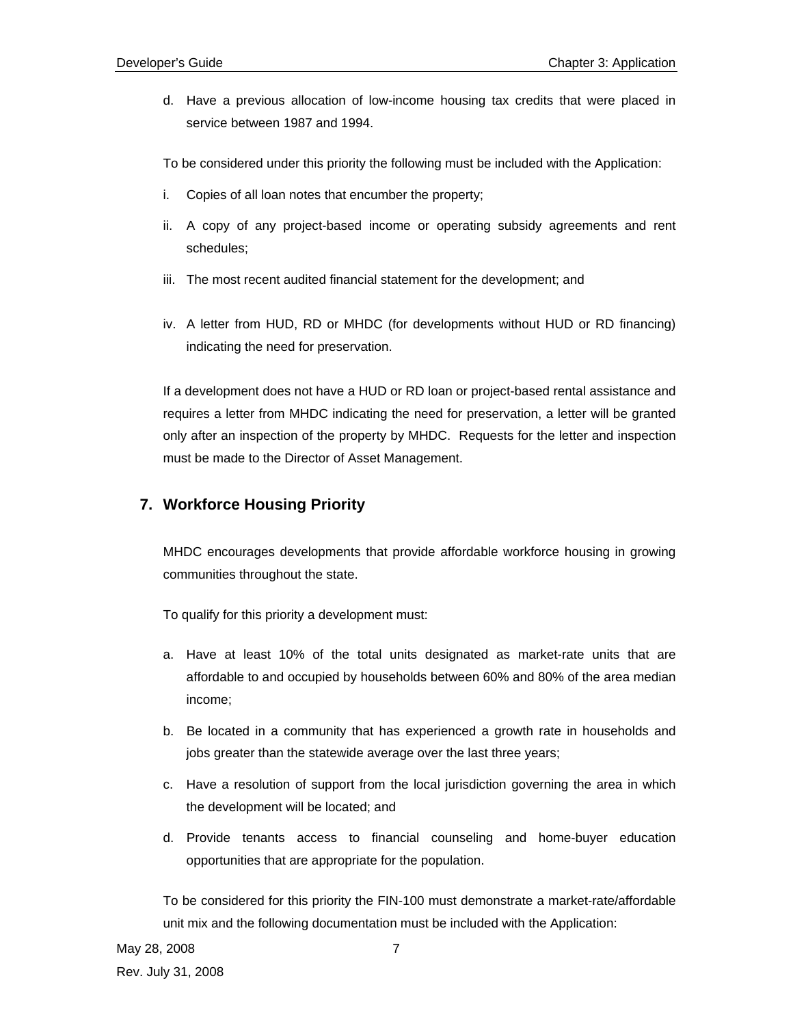d. Have a previous allocation of low-income housing tax credits that were placed in service between 1987 and 1994.

To be considered under this priority the following must be included with the Application:

- i. Copies of all loan notes that encumber the property;
- ii. A copy of any project-based income or operating subsidy agreements and rent schedules;
- iii. The most recent audited financial statement for the development; and
- iv. A letter from HUD, RD or MHDC (for developments without HUD or RD financing) indicating the need for preservation.

If a development does not have a HUD or RD loan or project-based rental assistance and requires a letter from MHDC indicating the need for preservation, a letter will be granted only after an inspection of the property by MHDC. Requests for the letter and inspection must be made to the Director of Asset Management.

## **7. Workforce Housing Priority**

MHDC encourages developments that provide affordable workforce housing in growing communities throughout the state.

To qualify for this priority a development must:

- a. Have at least 10% of the total units designated as market-rate units that are affordable to and occupied by households between 60% and 80% of the area median income;
- b. Be located in a community that has experienced a growth rate in households and jobs greater than the statewide average over the last three years;
- c. Have a resolution of support from the local jurisdiction governing the area in which the development will be located; and
- d. Provide tenants access to financial counseling and home-buyer education opportunities that are appropriate for the population.

To be considered for this priority the FIN-100 must demonstrate a market-rate/affordable unit mix and the following documentation must be included with the Application: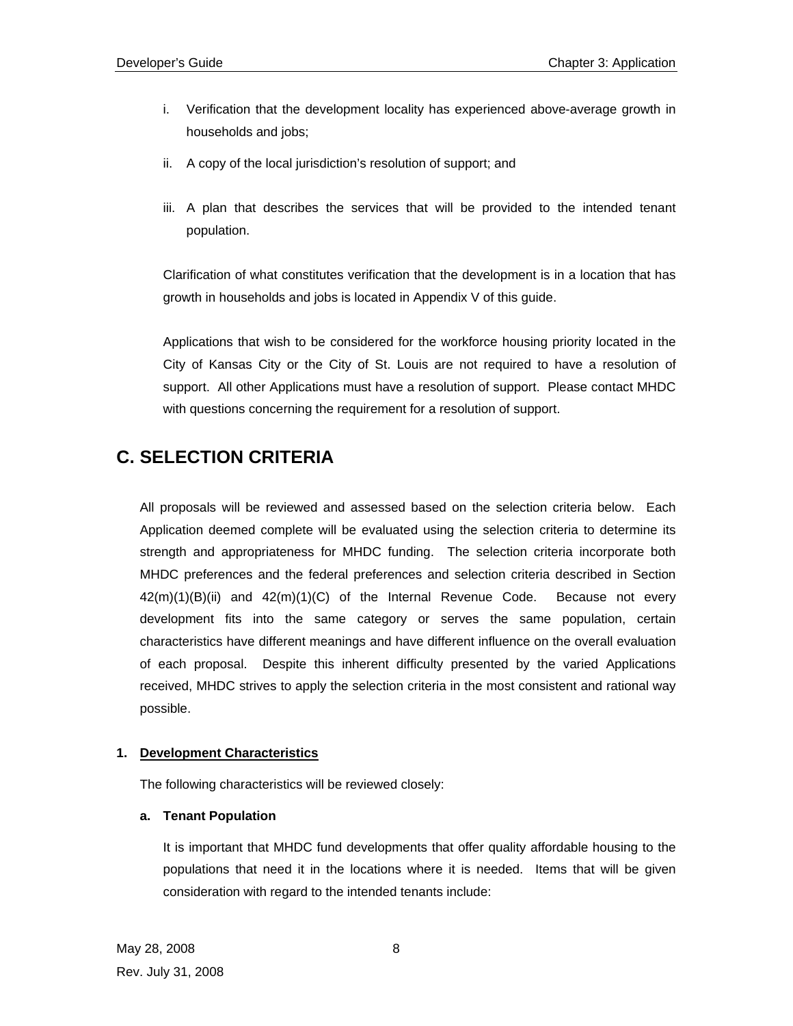- i. Verification that the development locality has experienced above-average growth in households and jobs;
- ii. A copy of the local jurisdiction's resolution of support; and
- iii. A plan that describes the services that will be provided to the intended tenant population.

Clarification of what constitutes verification that the development is in a location that has growth in households and jobs is located in Appendix V of this guide.

Applications that wish to be considered for the workforce housing priority located in the City of Kansas City or the City of St. Louis are not required to have a resolution of support. All other Applications must have a resolution of support. Please contact MHDC with questions concerning the requirement for a resolution of support.

## **C. SELECTION CRITERIA**

All proposals will be reviewed and assessed based on the selection criteria below. Each Application deemed complete will be evaluated using the selection criteria to determine its strength and appropriateness for MHDC funding. The selection criteria incorporate both MHDC preferences and the federal preferences and selection criteria described in Section  $42(m)(1)(B)(ii)$  and  $42(m)(1)(C)$  of the Internal Revenue Code. Because not every development fits into the same category or serves the same population, certain characteristics have different meanings and have different influence on the overall evaluation of each proposal. Despite this inherent difficulty presented by the varied Applications received, MHDC strives to apply the selection criteria in the most consistent and rational way possible.

## **1. Development Characteristics**

The following characteristics will be reviewed closely:

## **a. Tenant Population**

It is important that MHDC fund developments that offer quality affordable housing to the populations that need it in the locations where it is needed. Items that will be given consideration with regard to the intended tenants include: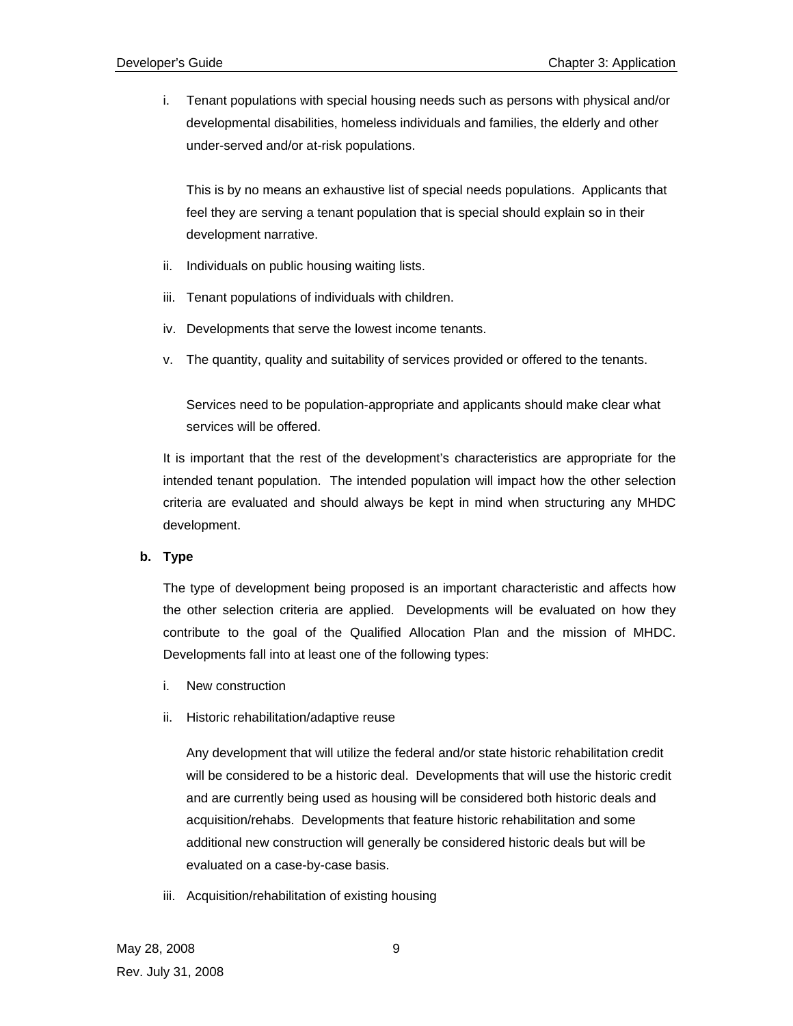i. Tenant populations with special housing needs such as persons with physical and/or developmental disabilities, homeless individuals and families, the elderly and other under-served and/or at-risk populations.

This is by no means an exhaustive list of special needs populations. Applicants that feel they are serving a tenant population that is special should explain so in their development narrative.

- ii. Individuals on public housing waiting lists.
- iii. Tenant populations of individuals with children.
- iv. Developments that serve the lowest income tenants.
- v. The quantity, quality and suitability of services provided or offered to the tenants.

Services need to be population-appropriate and applicants should make clear what services will be offered.

It is important that the rest of the development's characteristics are appropriate for the intended tenant population. The intended population will impact how the other selection criteria are evaluated and should always be kept in mind when structuring any MHDC development.

#### **b. Type**

The type of development being proposed is an important characteristic and affects how the other selection criteria are applied. Developments will be evaluated on how they contribute to the goal of the Qualified Allocation Plan and the mission of MHDC. Developments fall into at least one of the following types:

- i. New construction
- ii. Historic rehabilitation/adaptive reuse

Any development that will utilize the federal and/or state historic rehabilitation credit will be considered to be a historic deal. Developments that will use the historic credit and are currently being used as housing will be considered both historic deals and acquisition/rehabs. Developments that feature historic rehabilitation and some additional new construction will generally be considered historic deals but will be evaluated on a case-by-case basis.

iii. Acquisition/rehabilitation of existing housing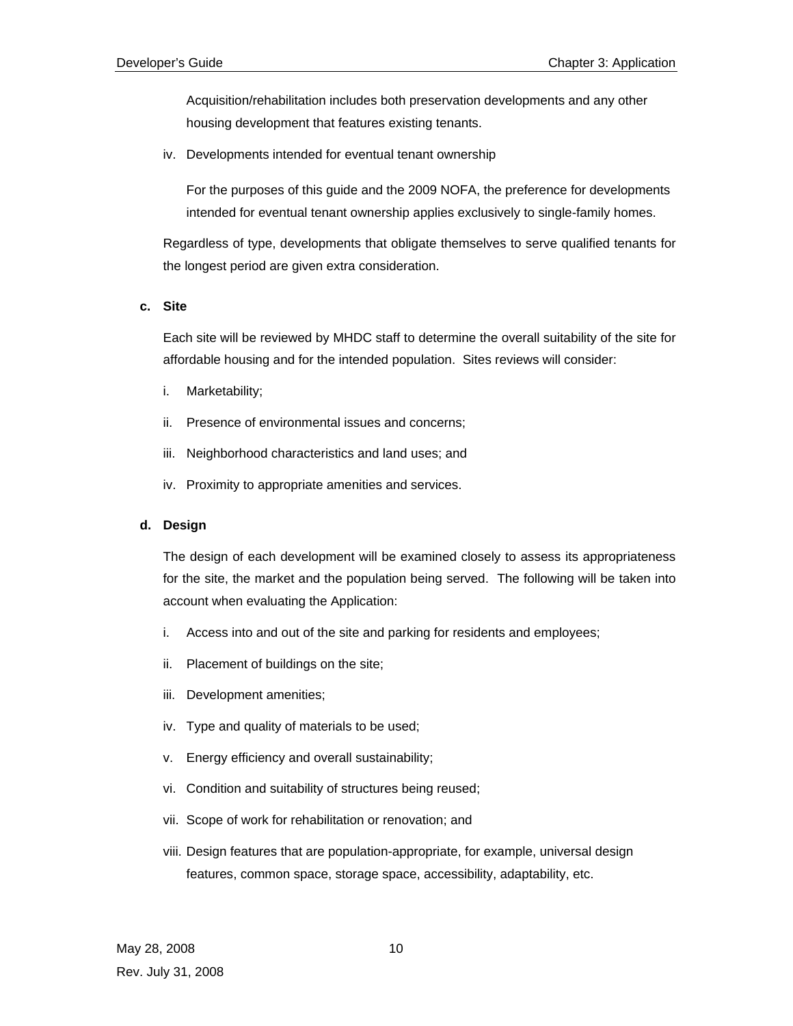Acquisition/rehabilitation includes both preservation developments and any other housing development that features existing tenants.

iv. Developments intended for eventual tenant ownership

For the purposes of this guide and the 2009 NOFA, the preference for developments intended for eventual tenant ownership applies exclusively to single-family homes.

Regardless of type, developments that obligate themselves to serve qualified tenants for the longest period are given extra consideration.

#### **c. Site**

Each site will be reviewed by MHDC staff to determine the overall suitability of the site for affordable housing and for the intended population. Sites reviews will consider:

- i. Marketability;
- ii. Presence of environmental issues and concerns;
- iii. Neighborhood characteristics and land uses; and
- iv. Proximity to appropriate amenities and services.

## **d. Design**

The design of each development will be examined closely to assess its appropriateness for the site, the market and the population being served. The following will be taken into account when evaluating the Application:

- i. Access into and out of the site and parking for residents and employees;
- ii. Placement of buildings on the site;
- iii. Development amenities;
- iv. Type and quality of materials to be used;
- v. Energy efficiency and overall sustainability;
- vi. Condition and suitability of structures being reused;
- vii. Scope of work for rehabilitation or renovation; and
- viii. Design features that are population-appropriate, for example, universal design features, common space, storage space, accessibility, adaptability, etc.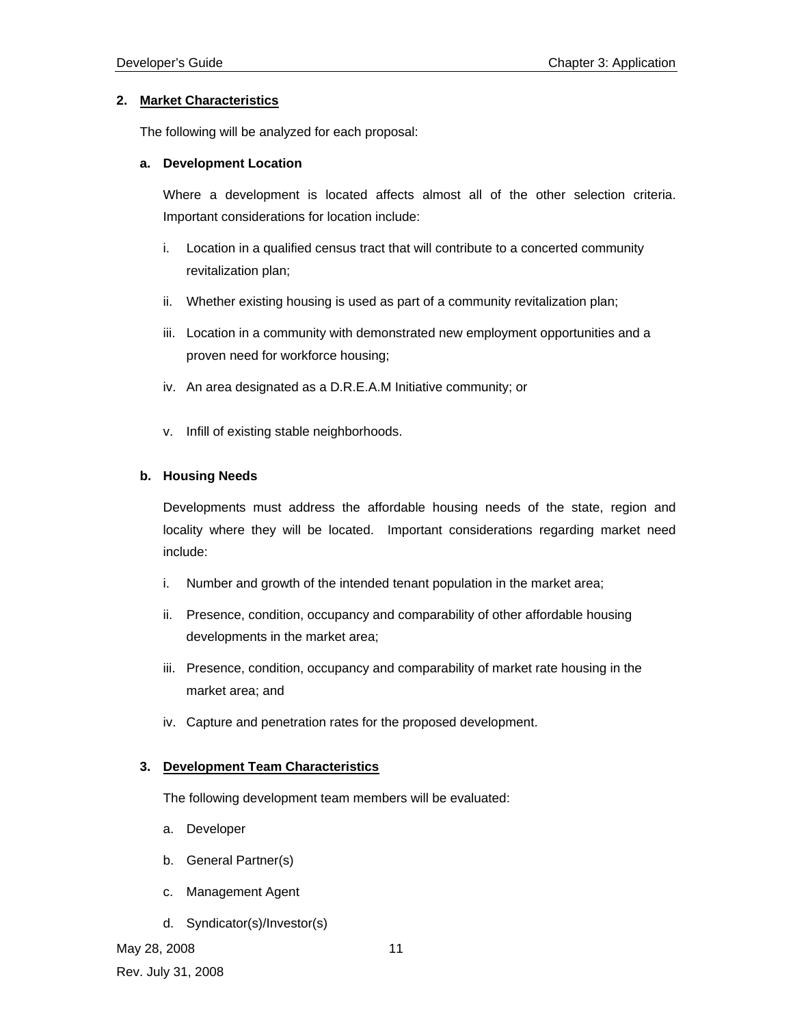#### **2. Market Characteristics**

The following will be analyzed for each proposal:

#### **a. Development Location**

Where a development is located affects almost all of the other selection criteria. Important considerations for location include:

- i. Location in a qualified census tract that will contribute to a concerted community revitalization plan;
- ii. Whether existing housing is used as part of a community revitalization plan;
- iii. Location in a community with demonstrated new employment opportunities and a proven need for workforce housing;
- iv. An area designated as a D.R.E.A.M Initiative community; or
- v. Infill of existing stable neighborhoods.

#### **b. Housing Needs**

Developments must address the affordable housing needs of the state, region and locality where they will be located. Important considerations regarding market need include:

- i. Number and growth of the intended tenant population in the market area;
- ii. Presence, condition, occupancy and comparability of other affordable housing developments in the market area;
- iii. Presence, condition, occupancy and comparability of market rate housing in the market area; and
- iv. Capture and penetration rates for the proposed development.

#### **3. Development Team Characteristics**

The following development team members will be evaluated:

- a. Developer
- b. General Partner(s)
- c. Management Agent
- d. Syndicator(s)/Investor(s)

May 28, 2008 11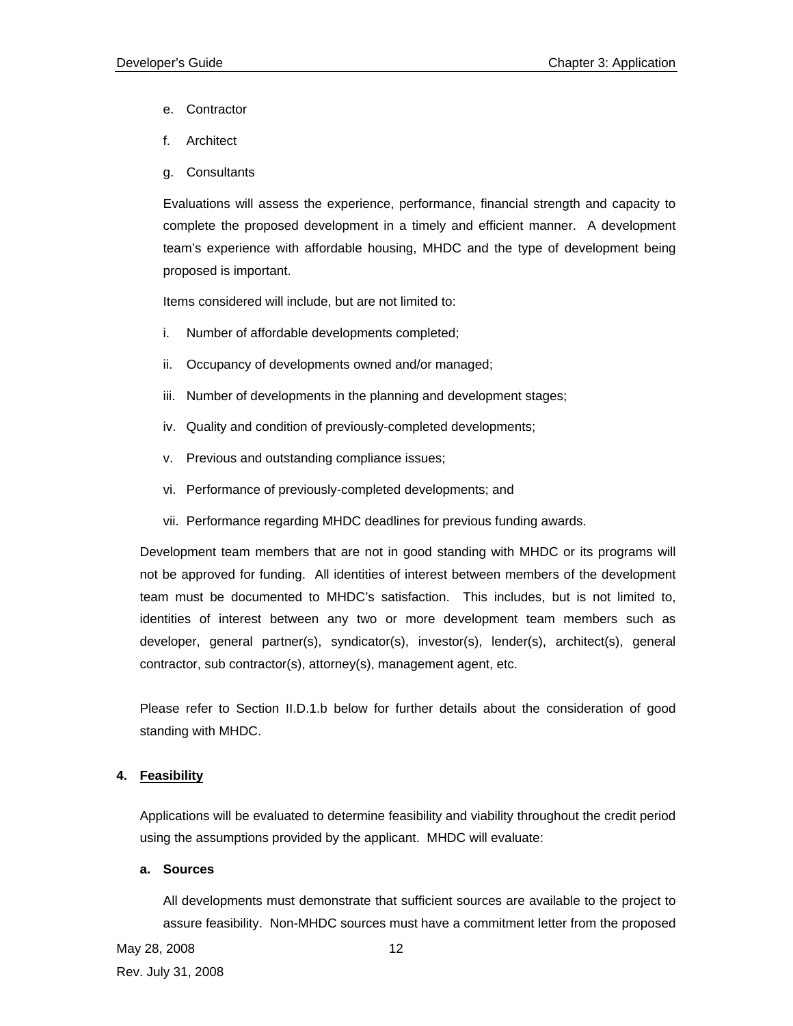- e. Contractor
- f. Architect
- g. Consultants

Evaluations will assess the experience, performance, financial strength and capacity to complete the proposed development in a timely and efficient manner. A development team's experience with affordable housing, MHDC and the type of development being proposed is important.

Items considered will include, but are not limited to:

- i. Number of affordable developments completed;
- ii. Occupancy of developments owned and/or managed;
- iii. Number of developments in the planning and development stages;
- iv. Quality and condition of previously-completed developments;
- v. Previous and outstanding compliance issues;
- vi. Performance of previously-completed developments; and
- vii. Performance regarding MHDC deadlines for previous funding awards.

Development team members that are not in good standing with MHDC or its programs will not be approved for funding. All identities of interest between members of the development team must be documented to MHDC's satisfaction. This includes, but is not limited to, identities of interest between any two or more development team members such as developer, general partner(s), syndicator(s), investor(s), lender(s), architect(s), general contractor, sub contractor(s), attorney(s), management agent, etc.

Please refer to Section II.D.1.b below for further details about the consideration of good standing with MHDC.

## **4. Feasibility**

Applications will be evaluated to determine feasibility and viability throughout the credit period using the assumptions provided by the applicant. MHDC will evaluate:

#### **a. Sources**

All developments must demonstrate that sufficient sources are available to the project to assure feasibility. Non-MHDC sources must have a commitment letter from the proposed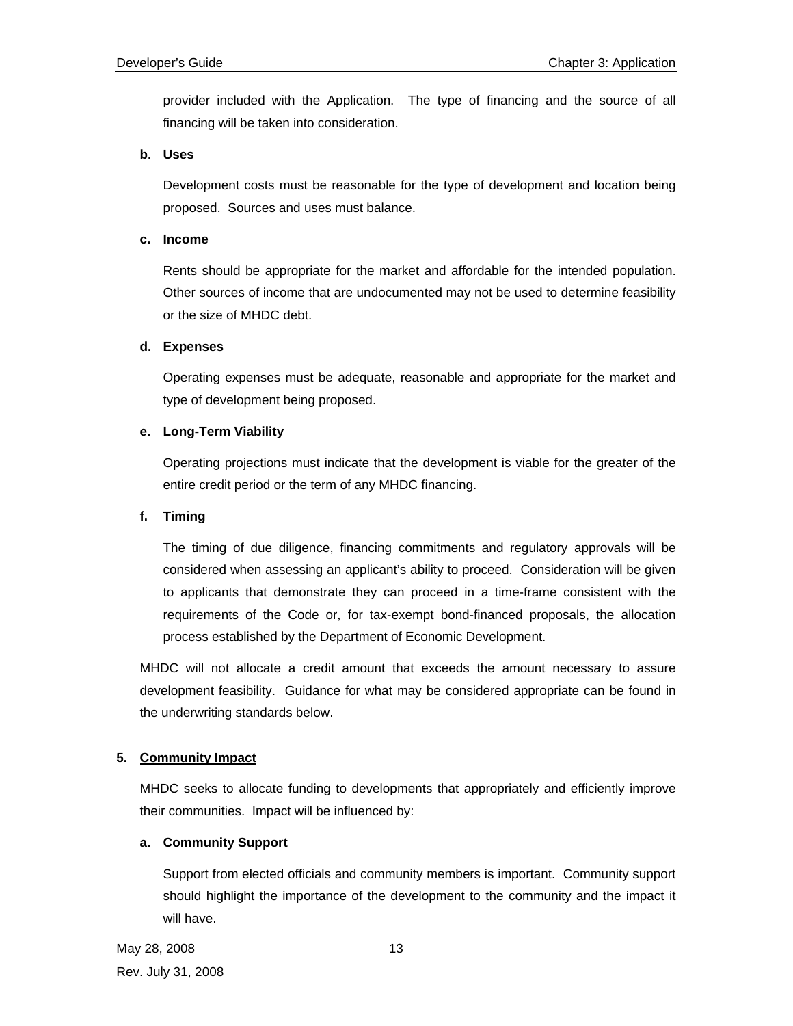provider included with the Application. The type of financing and the source of all financing will be taken into consideration.

#### **b. Uses**

Development costs must be reasonable for the type of development and location being proposed. Sources and uses must balance.

#### **c. Income**

Rents should be appropriate for the market and affordable for the intended population. Other sources of income that are undocumented may not be used to determine feasibility or the size of MHDC debt.

#### **d. Expenses**

Operating expenses must be adequate, reasonable and appropriate for the market and type of development being proposed.

#### **e. Long-Term Viability**

Operating projections must indicate that the development is viable for the greater of the entire credit period or the term of any MHDC financing.

#### **f. Timing**

The timing of due diligence, financing commitments and regulatory approvals will be considered when assessing an applicant's ability to proceed. Consideration will be given to applicants that demonstrate they can proceed in a time-frame consistent with the requirements of the Code or, for tax-exempt bond-financed proposals, the allocation process established by the Department of Economic Development.

MHDC will not allocate a credit amount that exceeds the amount necessary to assure development feasibility. Guidance for what may be considered appropriate can be found in the underwriting standards below.

## **5. Community Impact**

MHDC seeks to allocate funding to developments that appropriately and efficiently improve their communities. Impact will be influenced by:

#### **a. Community Support**

Support from elected officials and community members is important. Community support should highlight the importance of the development to the community and the impact it will have.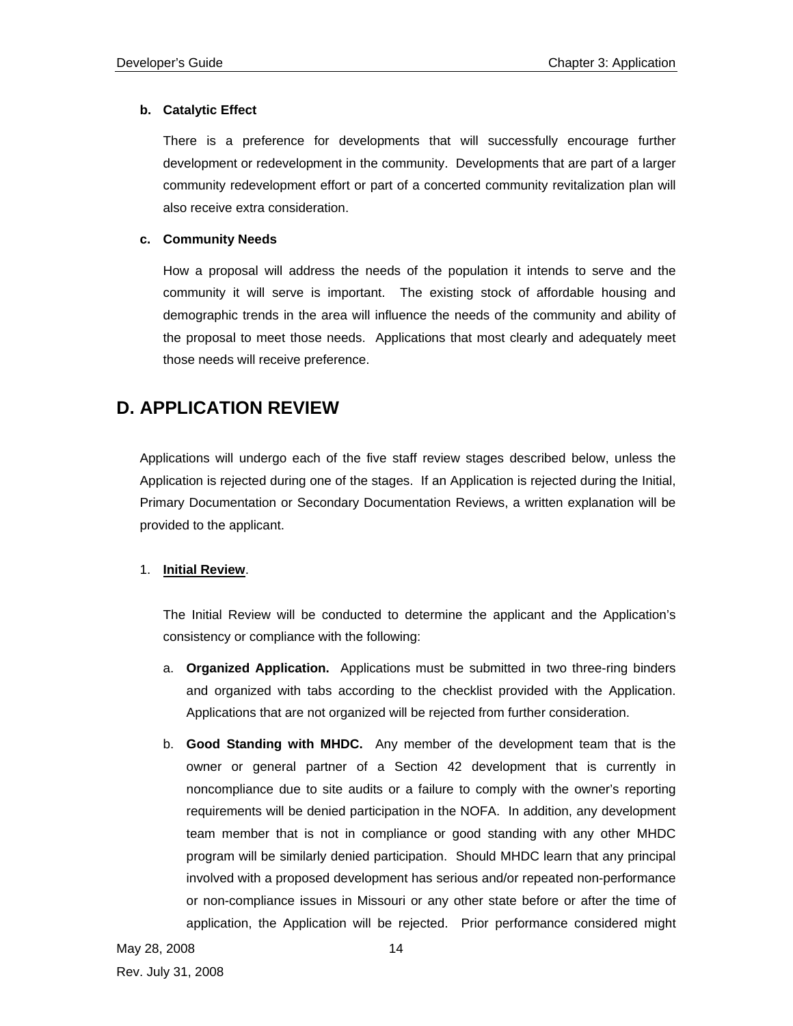## **b. Catalytic Effect**

There is a preference for developments that will successfully encourage further development or redevelopment in the community. Developments that are part of a larger community redevelopment effort or part of a concerted community revitalization plan will also receive extra consideration.

## **c. Community Needs**

How a proposal will address the needs of the population it intends to serve and the community it will serve is important. The existing stock of affordable housing and demographic trends in the area will influence the needs of the community and ability of the proposal to meet those needs. Applications that most clearly and adequately meet those needs will receive preference.

## **D. APPLICATION REVIEW**

Applications will undergo each of the five staff review stages described below, unless the Application is rejected during one of the stages. If an Application is rejected during the Initial, Primary Documentation or Secondary Documentation Reviews, a written explanation will be provided to the applicant.

## 1. **Initial Review**.

The Initial Review will be conducted to determine the applicant and the Application's consistency or compliance with the following:

- a. **Organized Application.** Applications must be submitted in two three-ring binders and organized with tabs according to the checklist provided with the Application. Applications that are not organized will be rejected from further consideration.
- b. **Good Standing with MHDC.** Any member of the development team that is the owner or general partner of a Section 42 development that is currently in noncompliance due to site audits or a failure to comply with the owner's reporting requirements will be denied participation in the NOFA. In addition, any development team member that is not in compliance or good standing with any other MHDC program will be similarly denied participation. Should MHDC learn that any principal involved with a proposed development has serious and/or repeated non-performance or non-compliance issues in Missouri or any other state before or after the time of application, the Application will be rejected. Prior performance considered might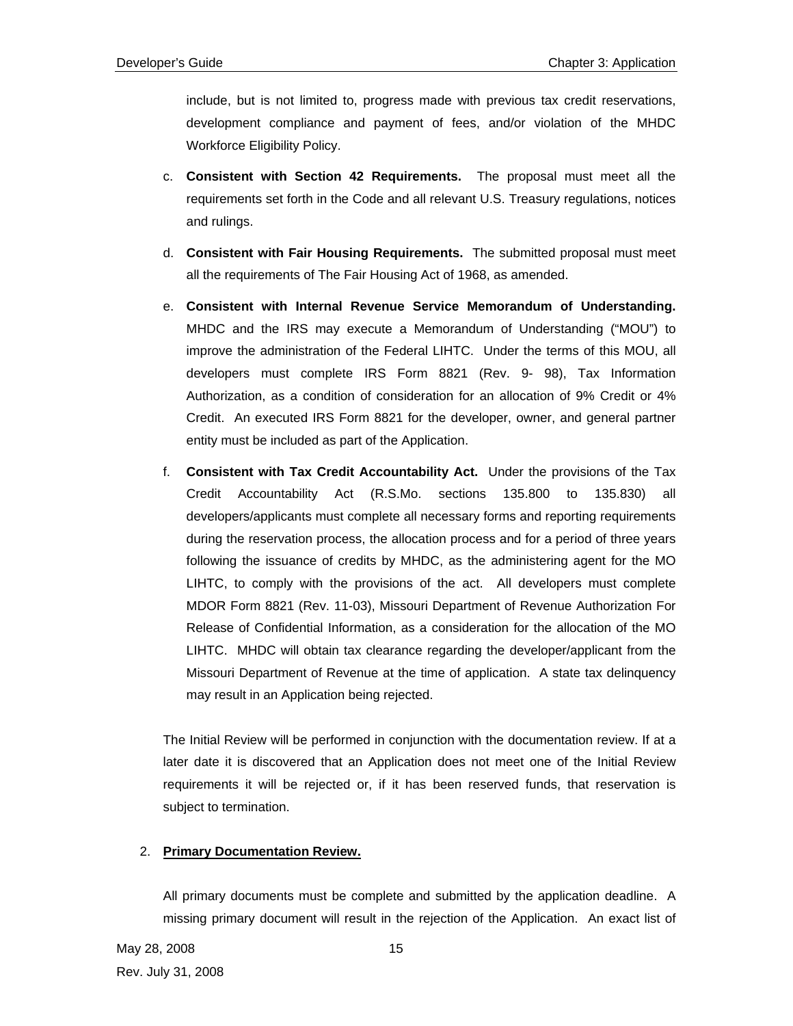include, but is not limited to, progress made with previous tax credit reservations, development compliance and payment of fees, and/or violation of the MHDC Workforce Eligibility Policy.

- c. **Consistent with Section 42 Requirements.** The proposal must meet all the requirements set forth in the Code and all relevant U.S. Treasury regulations, notices and rulings.
- d. **Consistent with Fair Housing Requirements.** The submitted proposal must meet all the requirements of The Fair Housing Act of 1968, as amended.
- e. **Consistent with Internal Revenue Service Memorandum of Understanding.** MHDC and the IRS may execute a Memorandum of Understanding ("MOU") to improve the administration of the Federal LIHTC. Under the terms of this MOU, all developers must complete IRS Form 8821 (Rev. 9- 98), Tax Information Authorization, as a condition of consideration for an allocation of 9% Credit or 4% Credit. An executed IRS Form 8821 for the developer, owner, and general partner entity must be included as part of the Application.
- f. **Consistent with Tax Credit Accountability Act.** Under the provisions of the Tax Credit Accountability Act (R.S.Mo. sections 135.800 to 135.830) all developers/applicants must complete all necessary forms and reporting requirements during the reservation process, the allocation process and for a period of three years following the issuance of credits by MHDC, as the administering agent for the MO LIHTC, to comply with the provisions of the act. All developers must complete MDOR Form 8821 (Rev. 11-03), Missouri Department of Revenue Authorization For Release of Confidential Information, as a consideration for the allocation of the MO LIHTC. MHDC will obtain tax clearance regarding the developer/applicant from the Missouri Department of Revenue at the time of application. A state tax delinquency may result in an Application being rejected.

The Initial Review will be performed in conjunction with the documentation review. If at a later date it is discovered that an Application does not meet one of the Initial Review requirements it will be rejected or, if it has been reserved funds, that reservation is subject to termination.

## 2. **Primary Documentation Review.**

All primary documents must be complete and submitted by the application deadline. A missing primary document will result in the rejection of the Application. An exact list of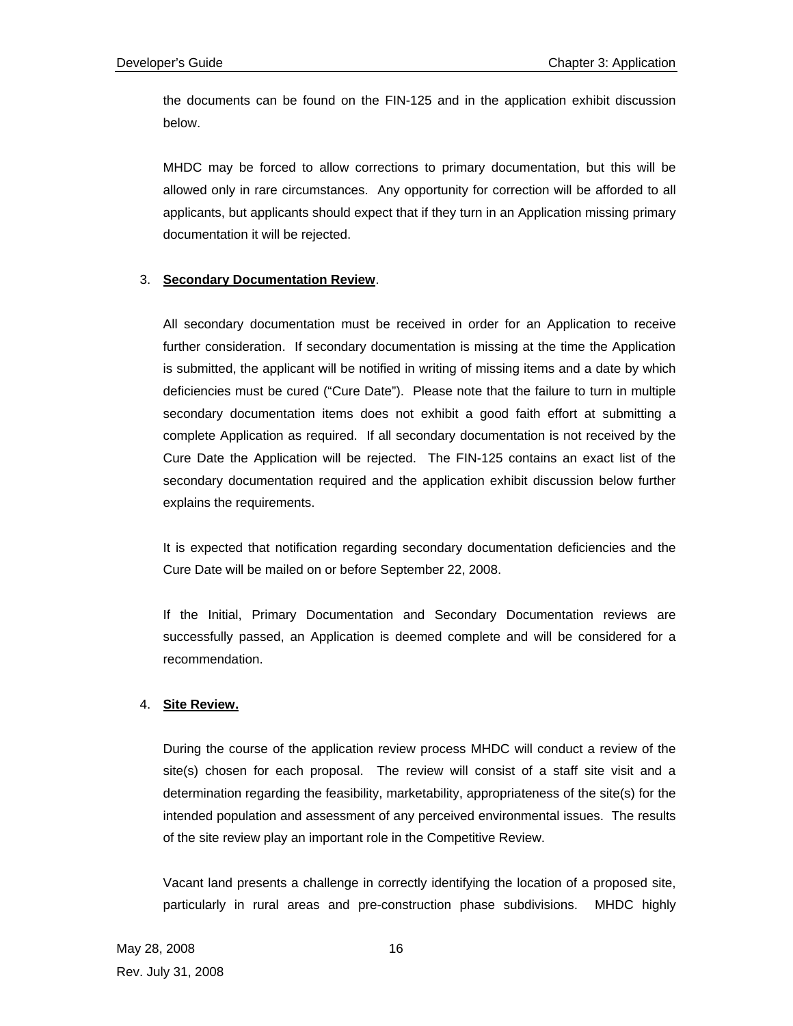the documents can be found on the FIN-125 and in the application exhibit discussion below.

MHDC may be forced to allow corrections to primary documentation, but this will be allowed only in rare circumstances. Any opportunity for correction will be afforded to all applicants, but applicants should expect that if they turn in an Application missing primary documentation it will be rejected.

## 3. **Secondary Documentation Review**.

All secondary documentation must be received in order for an Application to receive further consideration. If secondary documentation is missing at the time the Application is submitted, the applicant will be notified in writing of missing items and a date by which deficiencies must be cured ("Cure Date"). Please note that the failure to turn in multiple secondary documentation items does not exhibit a good faith effort at submitting a complete Application as required. If all secondary documentation is not received by the Cure Date the Application will be rejected. The FIN-125 contains an exact list of the secondary documentation required and the application exhibit discussion below further explains the requirements.

It is expected that notification regarding secondary documentation deficiencies and the Cure Date will be mailed on or before September 22, 2008.

If the Initial, Primary Documentation and Secondary Documentation reviews are successfully passed, an Application is deemed complete and will be considered for a recommendation.

## 4. **Site Review.**

During the course of the application review process MHDC will conduct a review of the site(s) chosen for each proposal. The review will consist of a staff site visit and a determination regarding the feasibility, marketability, appropriateness of the site(s) for the intended population and assessment of any perceived environmental issues. The results of the site review play an important role in the Competitive Review.

Vacant land presents a challenge in correctly identifying the location of a proposed site, particularly in rural areas and pre-construction phase subdivisions. MHDC highly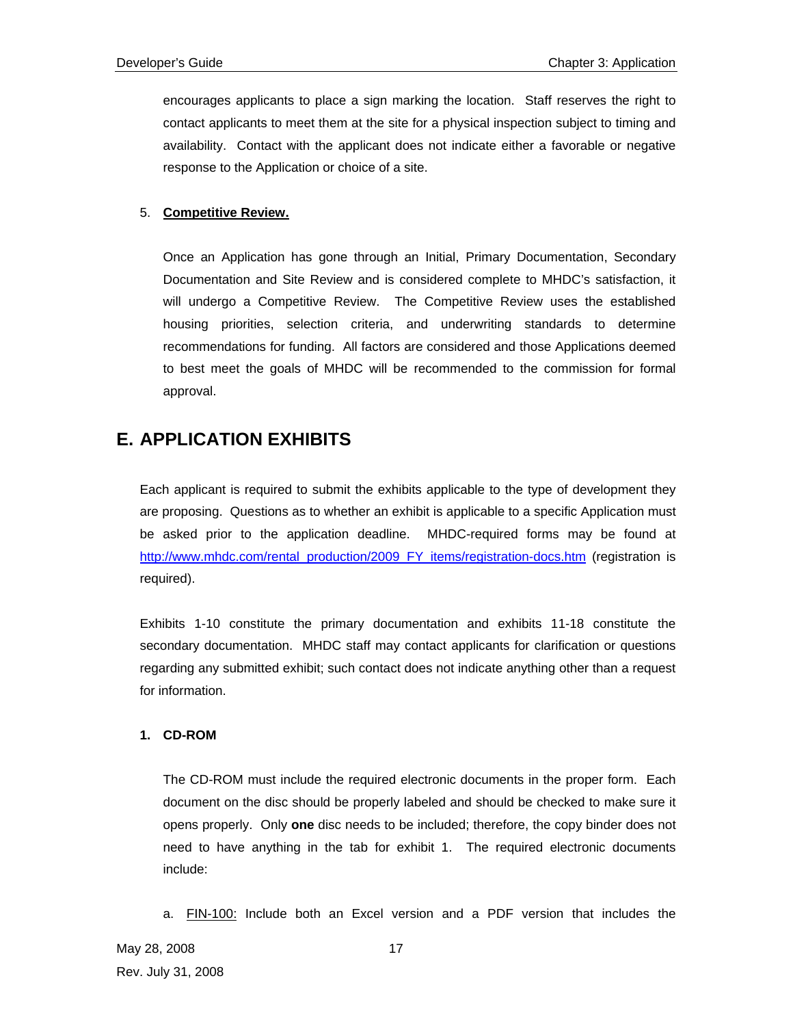encourages applicants to place a sign marking the location. Staff reserves the right to contact applicants to meet them at the site for a physical inspection subject to timing and availability. Contact with the applicant does not indicate either a favorable or negative response to the Application or choice of a site.

## 5. **Competitive Review.**

Once an Application has gone through an Initial, Primary Documentation, Secondary Documentation and Site Review and is considered complete to MHDC's satisfaction, it will undergo a Competitive Review. The Competitive Review uses the established housing priorities, selection criteria, and underwriting standards to determine recommendations for funding. All factors are considered and those Applications deemed to best meet the goals of MHDC will be recommended to the commission for formal approval.

## **E. APPLICATION EXHIBITS**

Each applicant is required to submit the exhibits applicable to the type of development they are proposing. Questions as to whether an exhibit is applicable to a specific Application must be asked prior to the application deadline. MHDC-required forms may be found at http://www.mhdc.com/rental\_production/2009\_FY\_items/registration-docs.htm (registration is required).

Exhibits 1-10 constitute the primary documentation and exhibits 11-18 constitute the secondary documentation. MHDC staff may contact applicants for clarification or questions regarding any submitted exhibit; such contact does not indicate anything other than a request for information.

## **1. CD-ROM**

The CD-ROM must include the required electronic documents in the proper form. Each document on the disc should be properly labeled and should be checked to make sure it opens properly. Only **one** disc needs to be included; therefore, the copy binder does not need to have anything in the tab for exhibit 1. The required electronic documents include:

a. FIN-100: Include both an Excel version and a PDF version that includes the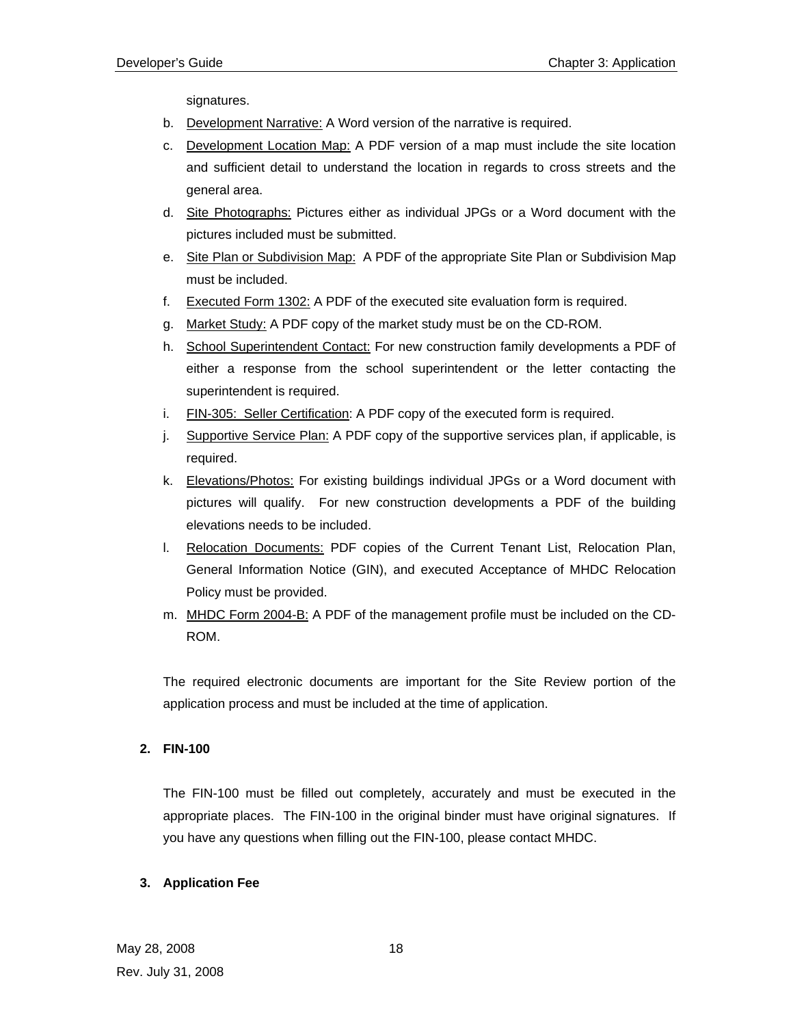signatures.

- b. Development Narrative: A Word version of the narrative is required.
- c. Development Location Map: A PDF version of a map must include the site location and sufficient detail to understand the location in regards to cross streets and the general area.
- d. Site Photographs: Pictures either as individual JPGs or a Word document with the pictures included must be submitted.
- e. Site Plan or Subdivision Map: A PDF of the appropriate Site Plan or Subdivision Map must be included.
- f. Executed Form 1302: A PDF of the executed site evaluation form is required.
- g. Market Study: A PDF copy of the market study must be on the CD-ROM.
- h. School Superintendent Contact: For new construction family developments a PDF of either a response from the school superintendent or the letter contacting the superintendent is required.
- i. FIN-305: Seller Certification: A PDF copy of the executed form is required.
- j. Supportive Service Plan: A PDF copy of the supportive services plan, if applicable, is required.
- k. Elevations/Photos: For existing buildings individual JPGs or a Word document with pictures will qualify. For new construction developments a PDF of the building elevations needs to be included.
- l. Relocation Documents: PDF copies of the Current Tenant List, Relocation Plan, General Information Notice (GIN), and executed Acceptance of MHDC Relocation Policy must be provided.
- m. MHDC Form 2004-B: A PDF of the management profile must be included on the CD-ROM.

The required electronic documents are important for the Site Review portion of the application process and must be included at the time of application.

## **2. FIN-100**

The FIN-100 must be filled out completely, accurately and must be executed in the appropriate places. The FIN-100 in the original binder must have original signatures. If you have any questions when filling out the FIN-100, please contact MHDC.

## **3. Application Fee**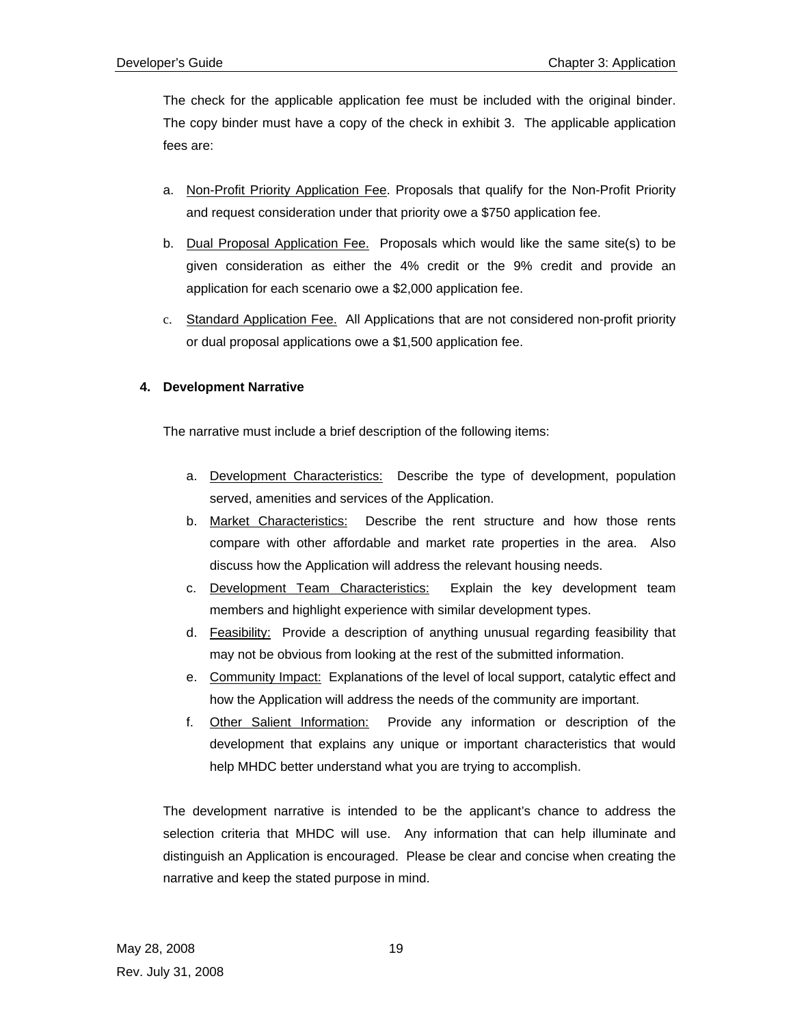The check for the applicable application fee must be included with the original binder. The copy binder must have a copy of the check in exhibit 3. The applicable application fees are:

- a. Non-Profit Priority Application Fee. Proposals that qualify for the Non-Profit Priority and request consideration under that priority owe a \$750 application fee.
- b. Dual Proposal Application Fee. Proposals which would like the same site(s) to be given consideration as either the 4% credit or the 9% credit and provide an application for each scenario owe a \$2,000 application fee.
- c. Standard Application Fee. All Applications that are not considered non-profit priority or dual proposal applications owe a \$1,500 application fee.

## **4. Development Narrative**

The narrative must include a brief description of the following items:

- a. Development Characteristics: Describe the type of development, population served, amenities and services of the Application.
- b. Market Characteristics: Describe the rent structure and how those rents compare with other affordabl*e* and market rate properties in the area. Also discuss how the Application will address the relevant housing needs.
- c. Development Team Characteristics: Explain the key development team members and highlight experience with similar development types.
- d. Feasibility: Provide a description of anything unusual regarding feasibility that may not be obvious from looking at the rest of the submitted information.
- e. Community Impact: Explanations of the level of local support, catalytic effect and how the Application will address the needs of the community are important.
- f. Other Salient Information: Provide any information or description of the development that explains any unique or important characteristics that would help MHDC better understand what you are trying to accomplish.

The development narrative is intended to be the applicant's chance to address the selection criteria that MHDC will use. Any information that can help illuminate and distinguish an Application is encouraged. Please be clear and concise when creating the narrative and keep the stated purpose in mind.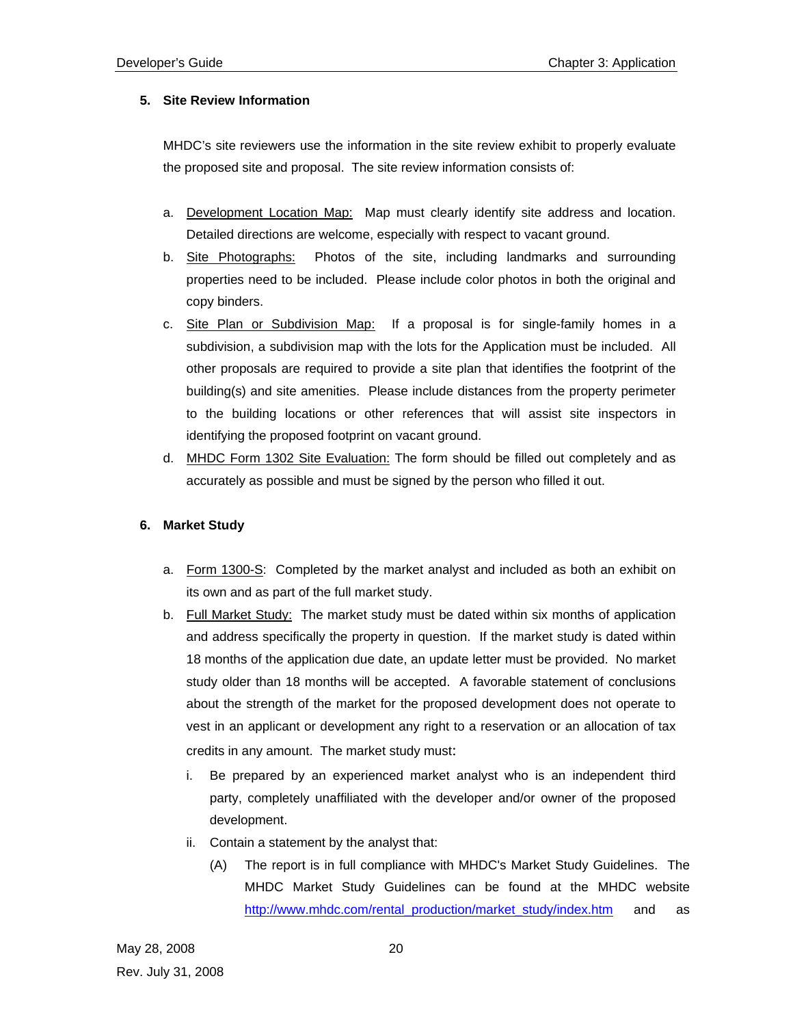## **5. Site Review Information**

MHDC's site reviewers use the information in the site review exhibit to properly evaluate the proposed site and proposal. The site review information consists of:

- a. Development Location Map: Map must clearly identify site address and location. Detailed directions are welcome, especially with respect to vacant ground.
- b. Site Photographs: Photos of the site, including landmarks and surrounding properties need to be included. Please include color photos in both the original and copy binders.
- c. Site Plan or Subdivision Map: If a proposal is for single-family homes in a subdivision, a subdivision map with the lots for the Application must be included. All other proposals are required to provide a site plan that identifies the footprint of the building(s) and site amenities. Please include distances from the property perimeter to the building locations or other references that will assist site inspectors in identifying the proposed footprint on vacant ground.
- d. MHDC Form 1302 Site Evaluation: The form should be filled out completely and as accurately as possible and must be signed by the person who filled it out.

## **6. Market Study**

- a. Form 1300-S: Completed by the market analyst and included as both an exhibit on its own and as part of the full market study.
- b. Full Market Study: The market study must be dated within six months of application and address specifically the property in question. If the market study is dated within 18 months of the application due date, an update letter must be provided. No market study older than 18 months will be accepted. A favorable statement of conclusions about the strength of the market for the proposed development does not operate to vest in an applicant or development any right to a reservation or an allocation of tax credits in any amount. The market study must:
	- i. Be prepared by an experienced market analyst who is an independent third party, completely unaffiliated with the developer and/or owner of the proposed development.
	- ii. Contain a statement by the analyst that:
		- (A) The report is in full compliance with MHDC's Market Study Guidelines. The MHDC Market Study Guidelines can be found at the MHDC website http://www.mhdc.com/rental\_production/market\_study/index.htm and as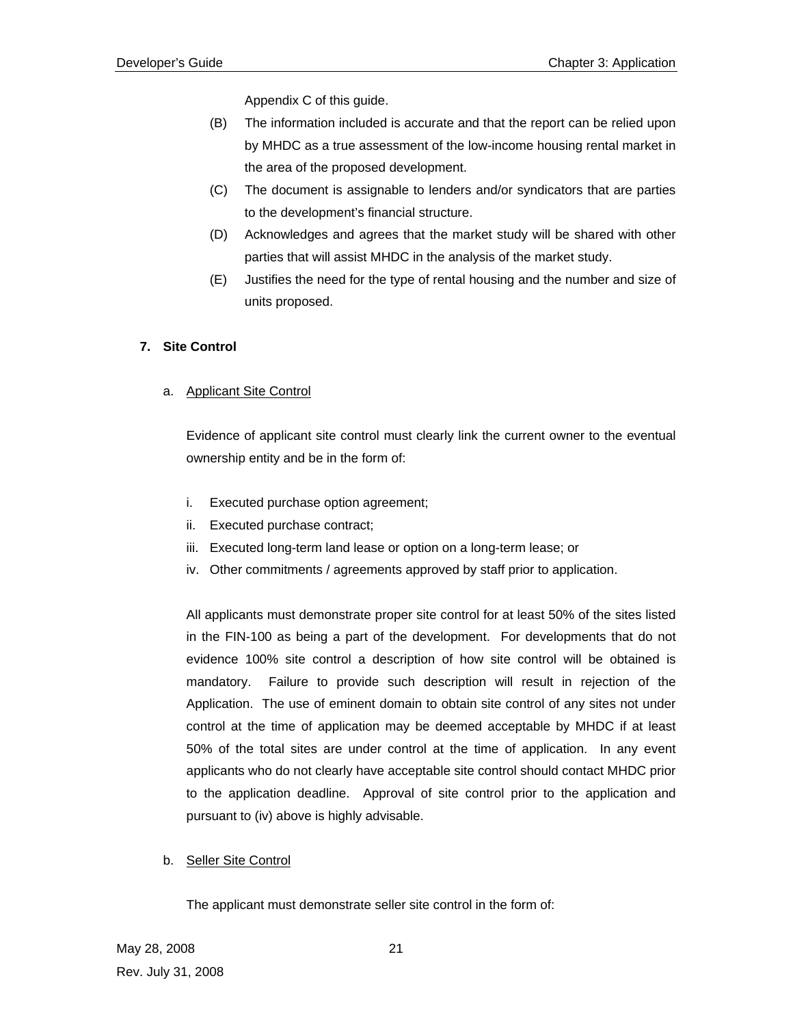Appendix C of this guide.

- (B) The information included is accurate and that the report can be relied upon by MHDC as a true assessment of the low-income housing rental market in the area of the proposed development.
- (C) The document is assignable to lenders and/or syndicators that are parties to the development's financial structure.
- (D) Acknowledges and agrees that the market study will be shared with other parties that will assist MHDC in the analysis of the market study.
- (E) Justifies the need for the type of rental housing and the number and size of units proposed.

## **7. Site Control**

## a. Applicant Site Control

Evidence of applicant site control must clearly link the current owner to the eventual ownership entity and be in the form of:

- i. Executed purchase option agreement;
- ii. Executed purchase contract;
- iii. Executed long-term land lease or option on a long-term lease; or
- iv. Other commitments / agreements approved by staff prior to application.

All applicants must demonstrate proper site control for at least 50% of the sites listed in the FIN-100 as being a part of the development. For developments that do not evidence 100% site control a description of how site control will be obtained is mandatory. Failure to provide such description will result in rejection of the Application. The use of eminent domain to obtain site control of any sites not under control at the time of application may be deemed acceptable by MHDC if at least 50% of the total sites are under control at the time of application. In any event applicants who do not clearly have acceptable site control should contact MHDC prior to the application deadline. Approval of site control prior to the application and pursuant to (iv) above is highly advisable.

## b. Seller Site Control

The applicant must demonstrate seller site control in the form of: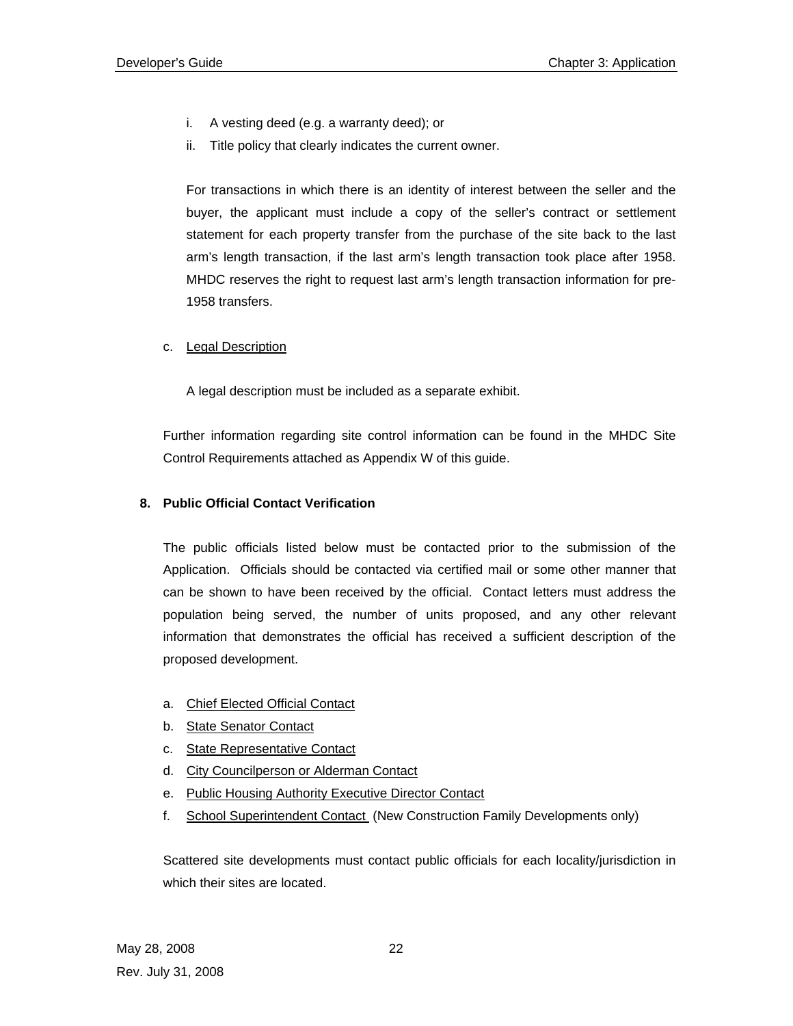- i. A vesting deed (e.g. a warranty deed); or
- ii. Title policy that clearly indicates the current owner.

For transactions in which there is an identity of interest between the seller and the buyer, the applicant must include a copy of the seller's contract or settlement statement for each property transfer from the purchase of the site back to the last arm's length transaction, if the last arm's length transaction took place after 1958. MHDC reserves the right to request last arm's length transaction information for pre-1958 transfers.

c. Legal Description

A legal description must be included as a separate exhibit.

Further information regarding site control information can be found in the MHDC Site Control Requirements attached as Appendix W of this guide.

## **8. Public Official Contact Verification**

The public officials listed below must be contacted prior to the submission of the Application. Officials should be contacted via certified mail or some other manner that can be shown to have been received by the official. Contact letters must address the population being served, the number of units proposed, and any other relevant information that demonstrates the official has received a sufficient description of the proposed development.

- a. Chief Elected Official Contact
- b. State Senator Contact
- c. State Representative Contact
- d. City Councilperson or Alderman Contact
- e. Public Housing Authority Executive Director Contact
- f. School Superintendent Contact (New Construction Family Developments only)

Scattered site developments must contact public officials for each locality/jurisdiction in which their sites are located.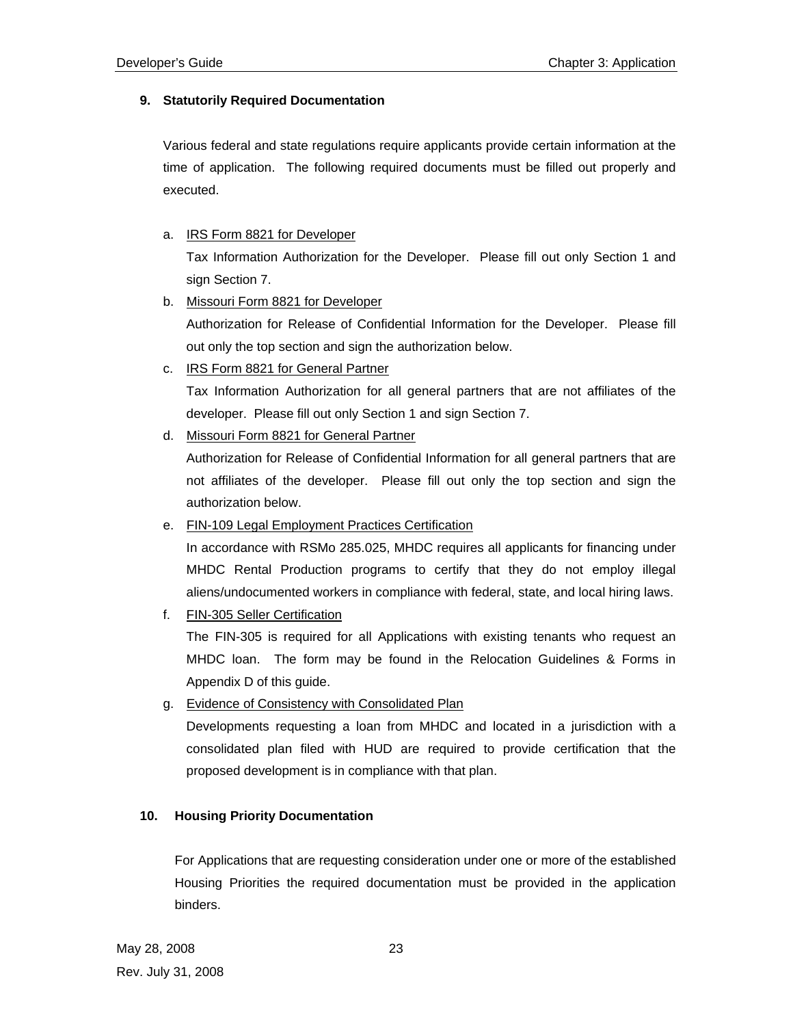## **9. Statutorily Required Documentation**

Various federal and state regulations require applicants provide certain information at the time of application. The following required documents must be filled out properly and executed.

## a. IRS Form 8821 for Developer

Tax Information Authorization for the Developer. Please fill out only Section 1 and sign Section 7.

b. Missouri Form 8821 for Developer

Authorization for Release of Confidential Information for the Developer. Please fill out only the top section and sign the authorization below.

c. IRS Form 8821 for General Partner

Tax Information Authorization for all general partners that are not affiliates of the developer. Please fill out only Section 1 and sign Section 7.

d. Missouri Form 8821 for General Partner

Authorization for Release of Confidential Information for all general partners that are not affiliates of the developer. Please fill out only the top section and sign the authorization below.

e. FIN-109 Legal Employment Practices Certification

In accordance with RSMo 285.025, MHDC requires all applicants for financing under MHDC Rental Production programs to certify that they do not employ illegal aliens/undocumented workers in compliance with federal, state, and local hiring laws.

f. FIN-305 Seller Certification

The FIN-305 is required for all Applications with existing tenants who request an MHDC loan. The form may be found in the Relocation Guidelines & Forms in Appendix D of this guide.

g. Evidence of Consistency with Consolidated Plan

Developments requesting a loan from MHDC and located in a jurisdiction with a consolidated plan filed with HUD are required to provide certification that the proposed development is in compliance with that plan.

## **10. Housing Priority Documentation**

For Applications that are requesting consideration under one or more of the established Housing Priorities the required documentation must be provided in the application binders.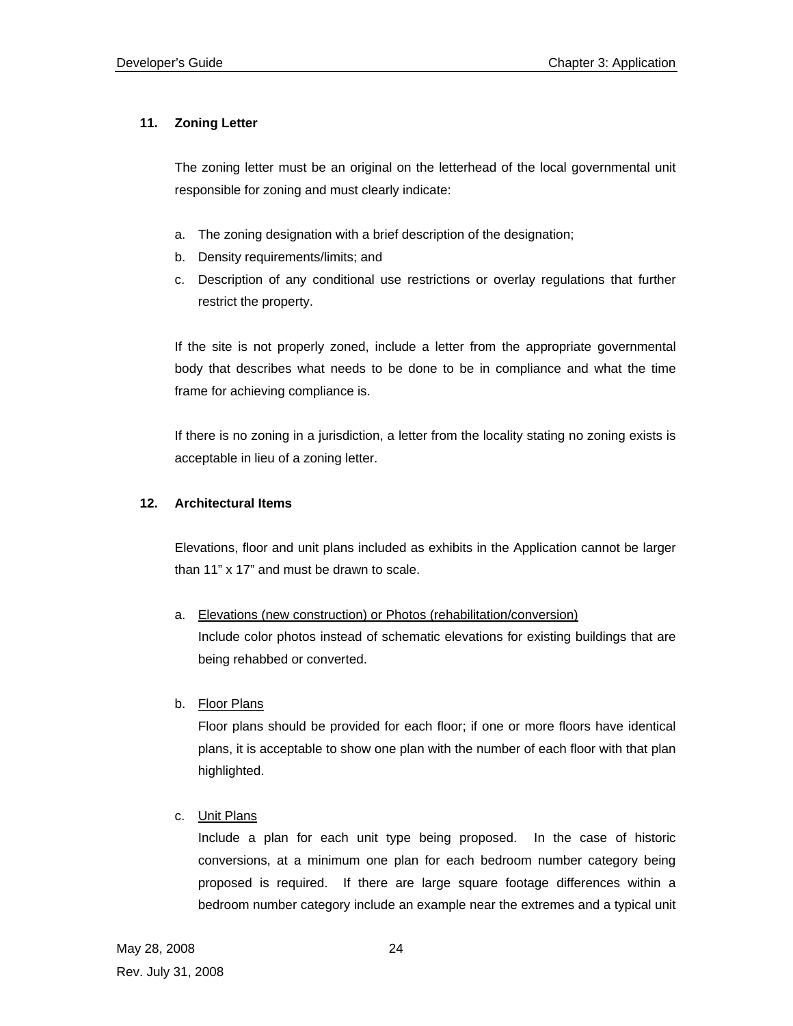## **11. Zoning Letter**

The zoning letter must be an original on the letterhead of the local governmental unit responsible for zoning and must clearly indicate:

- a. The zoning designation with a brief description of the designation;
- b. Density requirements/limits; and
- c. Description of any conditional use restrictions or overlay regulations that further restrict the property.

If the site is not properly zoned, include a letter from the appropriate governmental body that describes what needs to be done to be in compliance and what the time frame for achieving compliance is.

If there is no zoning in a jurisdiction, a letter from the locality stating no zoning exists is acceptable in lieu of a zoning letter.

## **12. Architectural Items**

Elevations, floor and unit plans included as exhibits in the Application cannot be larger than 11" x 17" and must be drawn to scale.

- a. Elevations (new construction) or Photos (rehabilitation/conversion) Include color photos instead of schematic elevations for existing buildings that are being rehabbed or converted.
- b. Floor Plans

Floor plans should be provided for each floor; if one or more floors have identical plans, it is acceptable to show one plan with the number of each floor with that plan highlighted.

c. Unit Plans

Include a plan for each unit type being proposed. In the case of historic conversions, at a minimum one plan for each bedroom number category being proposed is required. If there are large square footage differences within a bedroom number category include an example near the extremes and a typical unit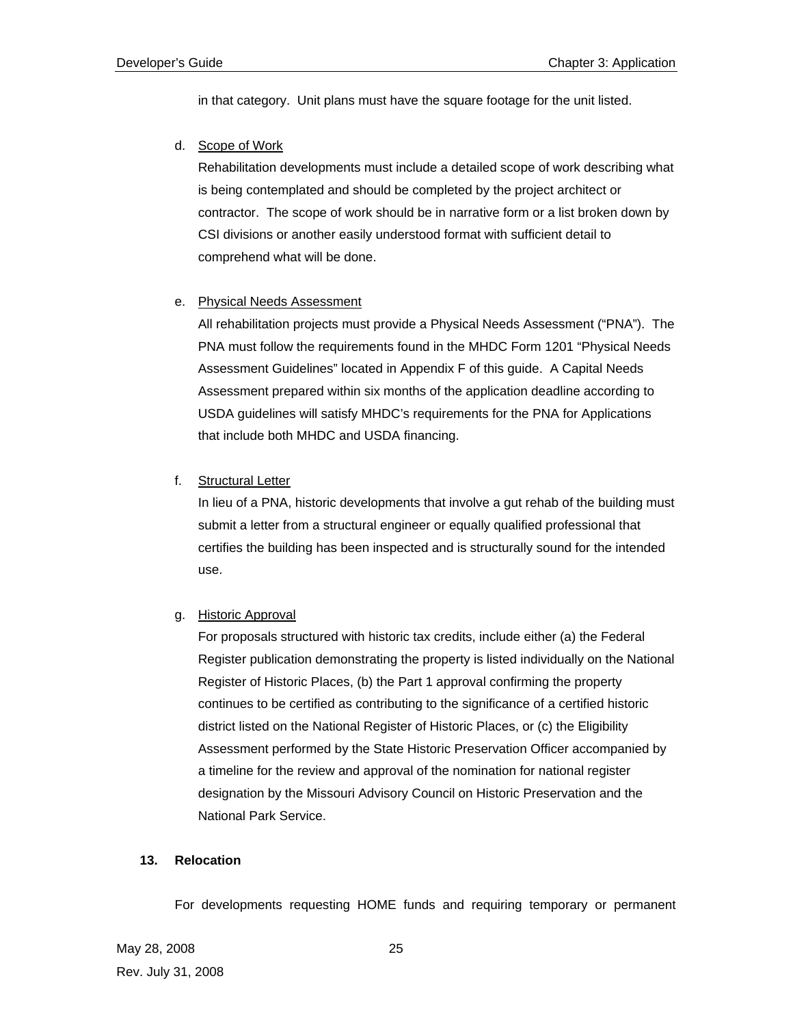in that category. Unit plans must have the square footage for the unit listed.

d. Scope of Work

Rehabilitation developments must include a detailed scope of work describing what is being contemplated and should be completed by the project architect or contractor. The scope of work should be in narrative form or a list broken down by CSI divisions or another easily understood format with sufficient detail to comprehend what will be done.

## e. Physical Needs Assessment

All rehabilitation projects must provide a Physical Needs Assessment ("PNA"). The PNA must follow the requirements found in the MHDC Form 1201 "Physical Needs Assessment Guidelines" located in Appendix F of this guide. A Capital Needs Assessment prepared within six months of the application deadline according to USDA guidelines will satisfy MHDC's requirements for the PNA for Applications that include both MHDC and USDA financing.

f. Structural Letter

In lieu of a PNA, historic developments that involve a gut rehab of the building must submit a letter from a structural engineer or equally qualified professional that certifies the building has been inspected and is structurally sound for the intended use.

g. Historic Approval

For proposals structured with historic tax credits, include either (a) the Federal Register publication demonstrating the property is listed individually on the National Register of Historic Places, (b) the Part 1 approval confirming the property continues to be certified as contributing to the significance of a certified historic district listed on the National Register of Historic Places, or (c) the Eligibility Assessment performed by the State Historic Preservation Officer accompanied by a timeline for the review and approval of the nomination for national register designation by the Missouri Advisory Council on Historic Preservation and the National Park Service.

## **13. Relocation**

For developments requesting HOME funds and requiring temporary or permanent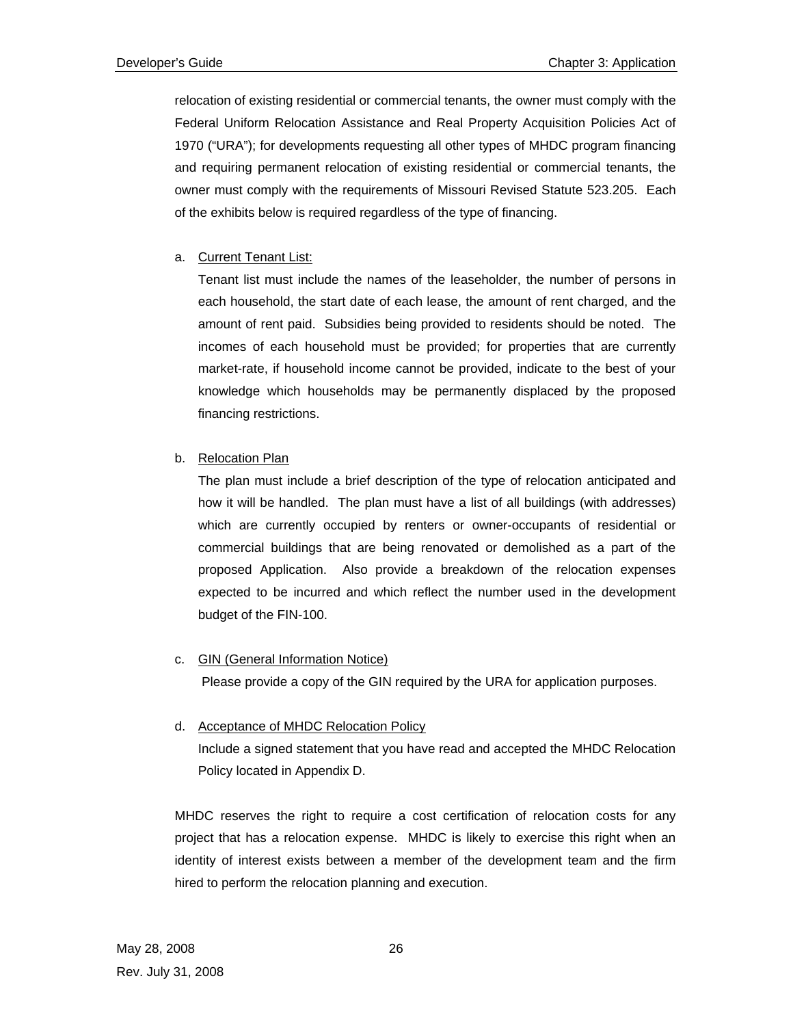relocation of existing residential or commercial tenants, the owner must comply with the Federal Uniform Relocation Assistance and Real Property Acquisition Policies Act of 1970 ("URA"); for developments requesting all other types of MHDC program financing and requiring permanent relocation of existing residential or commercial tenants, the owner must comply with the requirements of Missouri Revised Statute 523.205. Each of the exhibits below is required regardless of the type of financing.

## a. Current Tenant List:

Tenant list must include the names of the leaseholder, the number of persons in each household, the start date of each lease, the amount of rent charged, and the amount of rent paid. Subsidies being provided to residents should be noted. The incomes of each household must be provided; for properties that are currently market-rate, if household income cannot be provided, indicate to the best of your knowledge which households may be permanently displaced by the proposed financing restrictions.

## b. Relocation Plan

The plan must include a brief description of the type of relocation anticipated and how it will be handled. The plan must have a list of all buildings (with addresses) which are currently occupied by renters or owner-occupants of residential or commercial buildings that are being renovated or demolished as a part of the proposed Application. Also provide a breakdown of the relocation expenses expected to be incurred and which reflect the number used in the development budget of the FIN-100.

## c. GIN (General Information Notice)

Please provide a copy of the GIN required by the URA for application purposes.

## d. Acceptance of MHDC Relocation Policy

Include a signed statement that you have read and accepted the MHDC Relocation Policy located in Appendix D.

 MHDC reserves the right to require a cost certification of relocation costs for any project that has a relocation expense. MHDC is likely to exercise this right when an identity of interest exists between a member of the development team and the firm hired to perform the relocation planning and execution.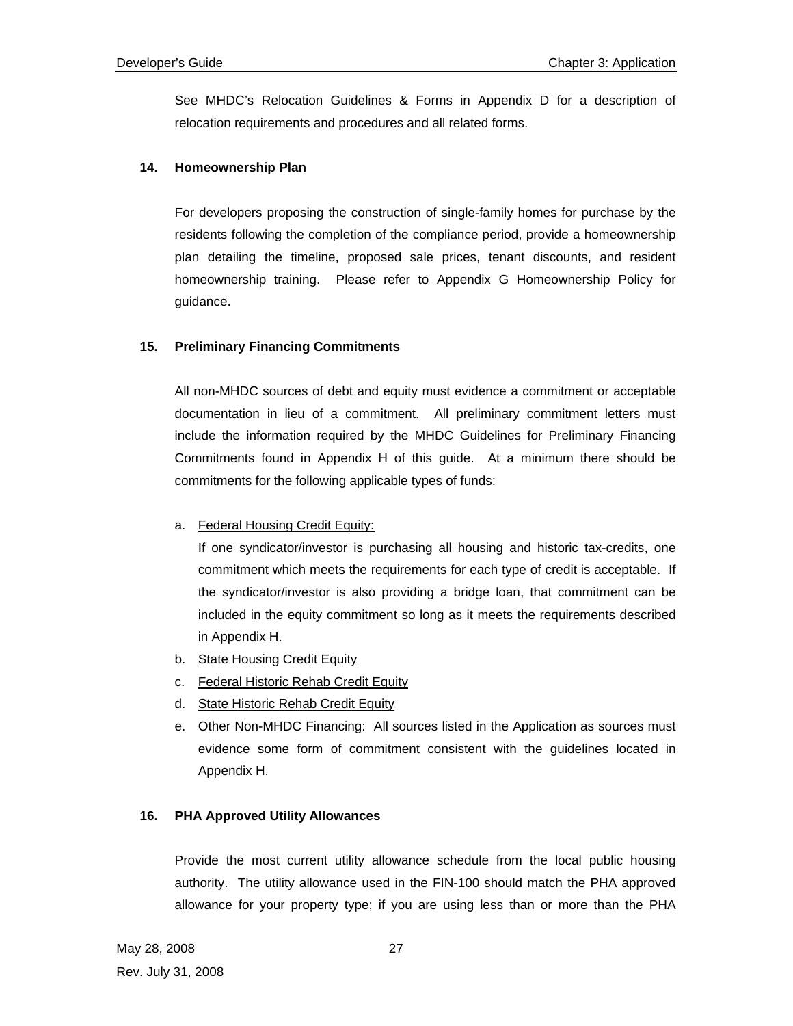See MHDC's Relocation Guidelines & Forms in Appendix D for a description of relocation requirements and procedures and all related forms.

## **14. Homeownership Plan**

For developers proposing the construction of single-family homes for purchase by the residents following the completion of the compliance period, provide a homeownership plan detailing the timeline, proposed sale prices, tenant discounts, and resident homeownership training. Please refer to Appendix G Homeownership Policy for guidance.

## **15. Preliminary Financing Commitments**

All non-MHDC sources of debt and equity must evidence a commitment or acceptable documentation in lieu of a commitment. All preliminary commitment letters must include the information required by the MHDC Guidelines for Preliminary Financing Commitments found in Appendix H of this guide. At a minimum there should be commitments for the following applicable types of funds:

## a. Federal Housing Credit Equity:

If one syndicator/investor is purchasing all housing and historic tax-credits, one commitment which meets the requirements for each type of credit is acceptable. If the syndicator/investor is also providing a bridge loan, that commitment can be included in the equity commitment so long as it meets the requirements described in Appendix H.

- b. State Housing Credit Equity
- c. Federal Historic Rehab Credit Equity
- d. State Historic Rehab Credit Equity
- e. Other Non-MHDC Financing: All sources listed in the Application as sources must evidence some form of commitment consistent with the guidelines located in Appendix H.

## **16. PHA Approved Utility Allowances**

Provide the most current utility allowance schedule from the local public housing authority. The utility allowance used in the FIN-100 should match the PHA approved allowance for your property type; if you are using less than or more than the PHA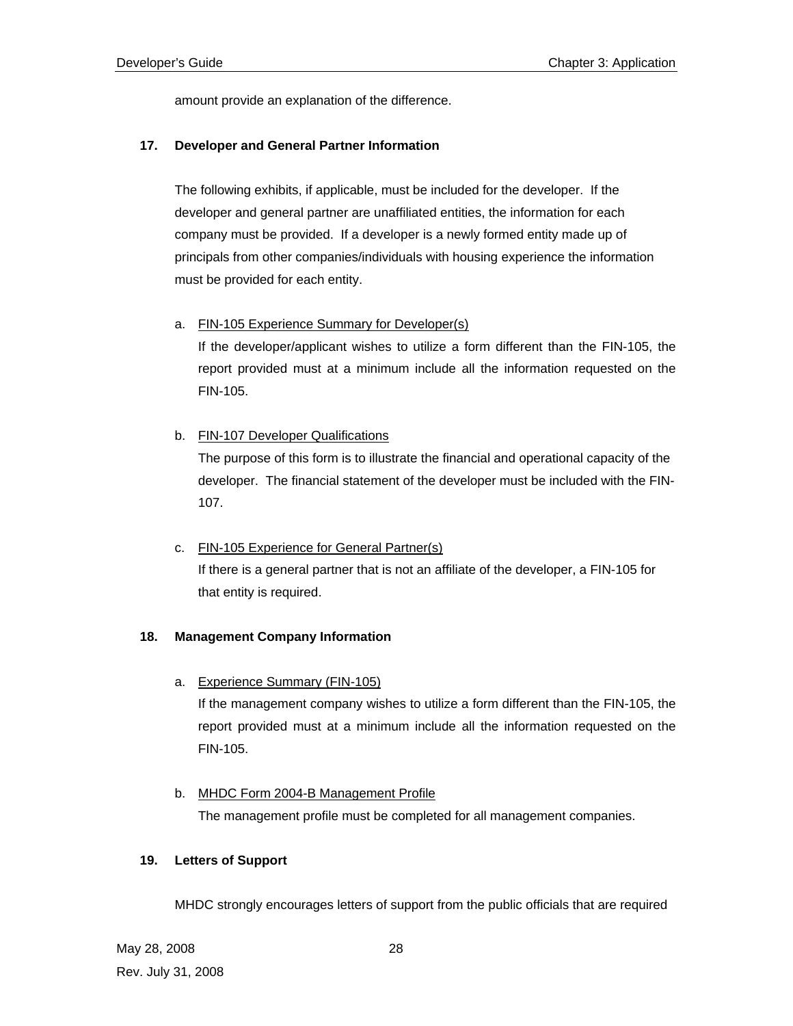amount provide an explanation of the difference.

## **17. Developer and General Partner Information**

The following exhibits, if applicable, must be included for the developer. If the developer and general partner are unaffiliated entities, the information for each company must be provided. If a developer is a newly formed entity made up of principals from other companies/individuals with housing experience the information must be provided for each entity.

## a. FIN-105 Experience Summary for Developer(s)

If the developer/applicant wishes to utilize a form different than the FIN-105, the report provided must at a minimum include all the information requested on the FIN-105.

## b. FIN-107 Developer Qualifications

The purpose of this form is to illustrate the financial and operational capacity of the developer. The financial statement of the developer must be included with the FIN-107.

## c. FIN-105 Experience for General Partner(s)

If there is a general partner that is not an affiliate of the developer, a FIN-105 for that entity is required.

## **18. Management Company Information**

a. Experience Summary (FIN-105)

If the management company wishes to utilize a form different than the FIN-105, the report provided must at a minimum include all the information requested on the FIN-105.

## b. MHDC Form 2004-B Management Profile

The management profile must be completed for all management companies.

## **19. Letters of Support**

MHDC strongly encourages letters of support from the public officials that are required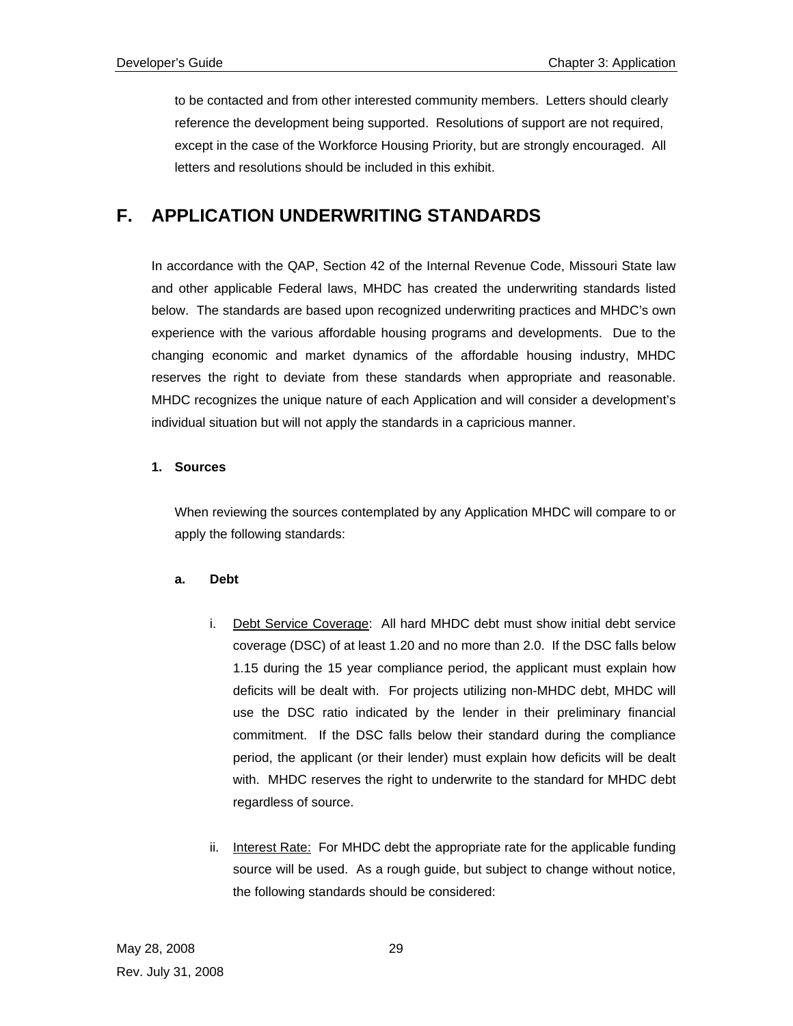to be contacted and from other interested community members. Letters should clearly reference the development being supported. Resolutions of support are not required, except in the case of the Workforce Housing Priority, but are strongly encouraged. All letters and resolutions should be included in this exhibit.

## **F. APPLICATION UNDERWRITING STANDARDS**

In accordance with the QAP, Section 42 of the Internal Revenue Code, Missouri State law and other applicable Federal laws, MHDC has created the underwriting standards listed below. The standards are based upon recognized underwriting practices and MHDC's own experience with the various affordable housing programs and developments. Due to the changing economic and market dynamics of the affordable housing industry, MHDC reserves the right to deviate from these standards when appropriate and reasonable. MHDC recognizes the unique nature of each Application and will consider a development's individual situation but will not apply the standards in a capricious manner.

## **1. Sources**

When reviewing the sources contemplated by any Application MHDC will compare to or apply the following standards:

## **a. Debt**

- i. Debt Service Coverage: All hard MHDC debt must show initial debt service coverage (DSC) of at least 1.20 and no more than 2.0. If the DSC falls below 1.15 during the 15 year compliance period, the applicant must explain how deficits will be dealt with. For projects utilizing non-MHDC debt, MHDC will use the DSC ratio indicated by the lender in their preliminary financial commitment. If the DSC falls below their standard during the compliance period, the applicant (or their lender) must explain how deficits will be dealt with. MHDC reserves the right to underwrite to the standard for MHDC debt regardless of source.
- ii. Interest Rate: For MHDC debt the appropriate rate for the applicable funding source will be used. As a rough guide, but subject to change without notice, the following standards should be considered: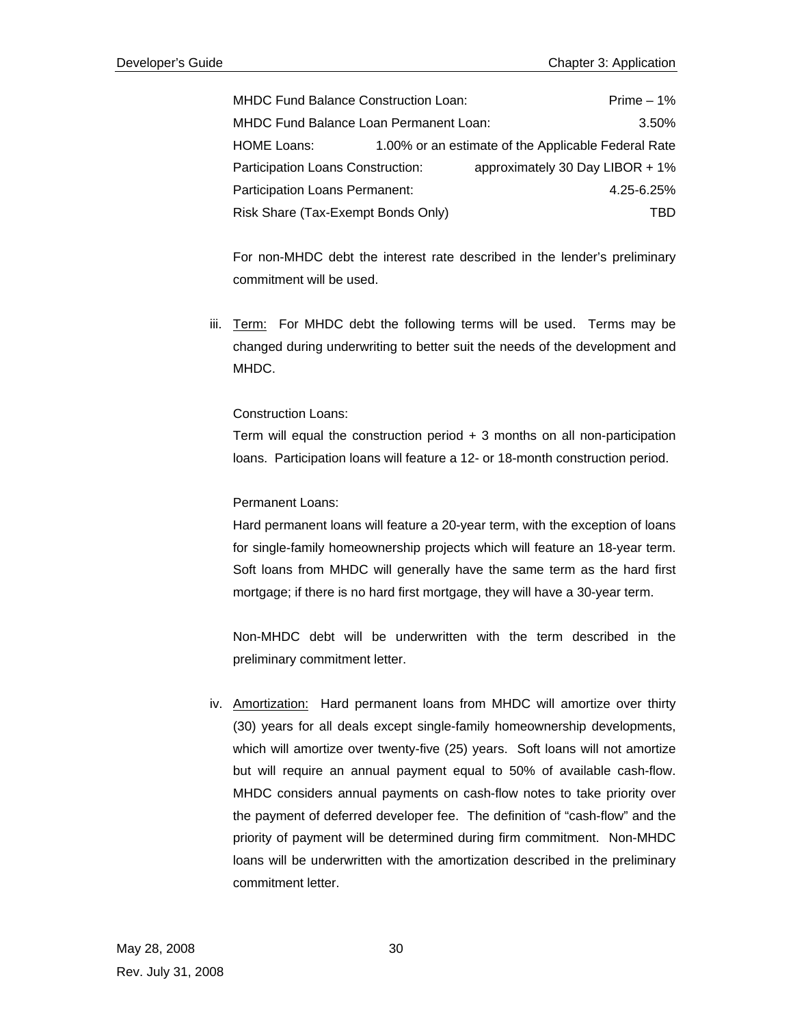MHDC Fund Balance Construction Loan: Prime – 1% MHDC Fund Balance Loan Permanent Loan: 3.50% HOME Loans: 1.00% or an estimate of the Applicable Federal Rate Participation Loans Construction: approximately 30 Day LIBOR + 1% Participation Loans Permanent: 4.25-6.25% Risk Share (Tax-Exempt Bonds Only) TBD

For non-MHDC debt the interest rate described in the lender's preliminary commitment will be used.

iii. Term: For MHDC debt the following terms will be used. Terms may be changed during underwriting to better suit the needs of the development and MHDC.

#### Construction Loans:

Term will equal the construction period  $+3$  months on all non-participation loans. Participation loans will feature a 12- or 18-month construction period.

#### Permanent Loans:

Hard permanent loans will feature a 20-year term, with the exception of loans for single-family homeownership projects which will feature an 18-year term. Soft loans from MHDC will generally have the same term as the hard first mortgage; if there is no hard first mortgage, they will have a 30-year term.

Non-MHDC debt will be underwritten with the term described in the preliminary commitment letter.

iv. Amortization: Hard permanent loans from MHDC will amortize over thirty (30) years for all deals except single-family homeownership developments, which will amortize over twenty-five (25) years. Soft loans will not amortize but will require an annual payment equal to 50% of available cash-flow. MHDC considers annual payments on cash-flow notes to take priority over the payment of deferred developer fee. The definition of "cash-flow" and the priority of payment will be determined during firm commitment. Non-MHDC loans will be underwritten with the amortization described in the preliminary commitment letter.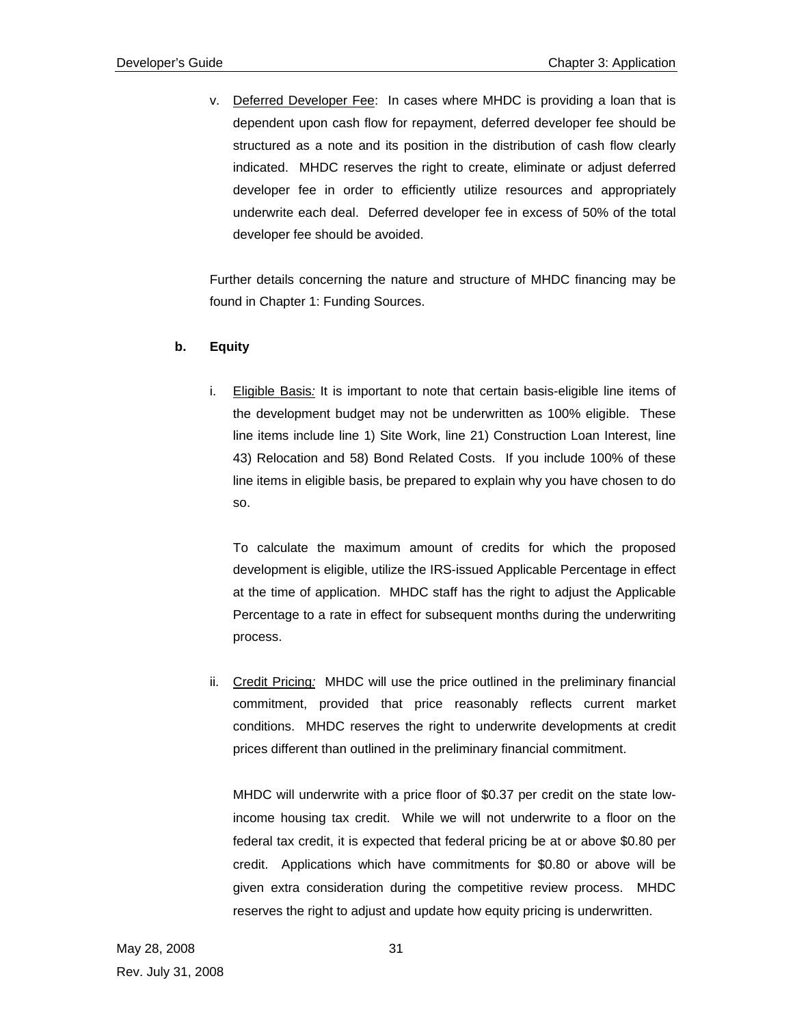v. Deferred Developer Fee: In cases where MHDC is providing a loan that is dependent upon cash flow for repayment, deferred developer fee should be structured as a note and its position in the distribution of cash flow clearly indicated. MHDC reserves the right to create, eliminate or adjust deferred developer fee in order to efficiently utilize resources and appropriately underwrite each deal. Deferred developer fee in excess of 50% of the total developer fee should be avoided.

Further details concerning the nature and structure of MHDC financing may be found in Chapter 1: Funding Sources.

#### **b. Equity**

i. Eligible Basis*:* It is important to note that certain basis-eligible line items of the development budget may not be underwritten as 100% eligible. These line items include line 1) Site Work, line 21) Construction Loan Interest, line 43) Relocation and 58) Bond Related Costs. If you include 100% of these line items in eligible basis, be prepared to explain why you have chosen to do so.

 To calculate the maximum amount of credits for which the proposed development is eligible, utilize the IRS-issued Applicable Percentage in effect at the time of application. MHDC staff has the right to adjust the Applicable Percentage to a rate in effect for subsequent months during the underwriting process.

ii. Credit Pricing*:* MHDC will use the price outlined in the preliminary financial commitment, provided that price reasonably reflects current market conditions. MHDC reserves the right to underwrite developments at credit prices different than outlined in the preliminary financial commitment.

MHDC will underwrite with a price floor of \$0.37 per credit on the state lowincome housing tax credit. While we will not underwrite to a floor on the federal tax credit, it is expected that federal pricing be at or above \$0.80 per credit. Applications which have commitments for \$0.80 or above will be given extra consideration during the competitive review process. MHDC reserves the right to adjust and update how equity pricing is underwritten.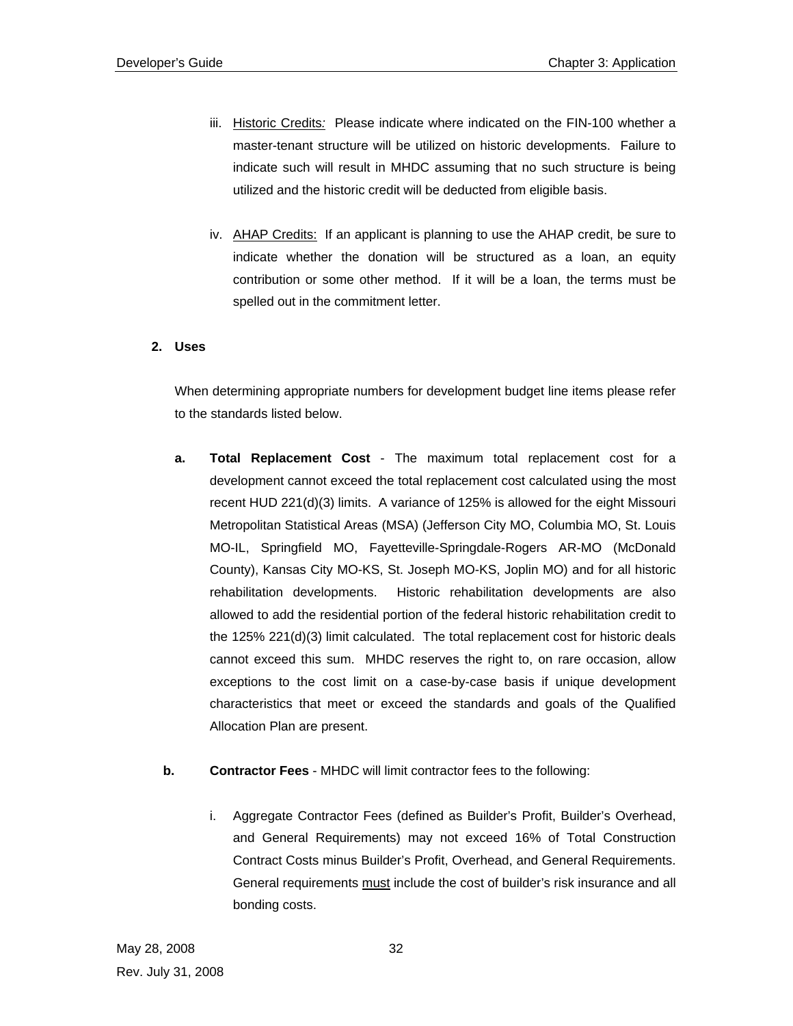- iii. Historic Credits*:* Please indicate where indicated on the FIN-100 whether a master-tenant structure will be utilized on historic developments. Failure to indicate such will result in MHDC assuming that no such structure is being utilized and the historic credit will be deducted from eligible basis.
- iv. AHAP Credits: If an applicant is planning to use the AHAP credit, be sure to indicate whether the donation will be structured as a loan, an equity contribution or some other method. If it will be a loan, the terms must be spelled out in the commitment letter.

#### **2. Uses**

When determining appropriate numbers for development budget line items please refer to the standards listed below.

- **a. Total Replacement Cost**  The maximum total replacement cost for a development cannot exceed the total replacement cost calculated using the most recent HUD 221(d)(3) limits. A variance of 125% is allowed for the eight Missouri Metropolitan Statistical Areas (MSA) (Jefferson City MO, Columbia MO, St. Louis MO-IL, Springfield MO, Fayetteville-Springdale-Rogers AR-MO (McDonald County), Kansas City MO-KS, St. Joseph MO-KS, Joplin MO) and for all historic rehabilitation developments. Historic rehabilitation developments are also allowed to add the residential portion of the federal historic rehabilitation credit to the 125% 221(d)(3) limit calculated. The total replacement cost for historic deals cannot exceed this sum. MHDC reserves the right to, on rare occasion, allow exceptions to the cost limit on a case-by-case basis if unique development characteristics that meet or exceed the standards and goals of the Qualified Allocation Plan are present.
- **b. Contractor Fees** MHDC will limit contractor fees to the following:
	- i. Aggregate Contractor Fees (defined as Builder's Profit, Builder's Overhead, and General Requirements) may not exceed 16% of Total Construction Contract Costs minus Builder's Profit, Overhead, and General Requirements. General requirements must include the cost of builder's risk insurance and all bonding costs.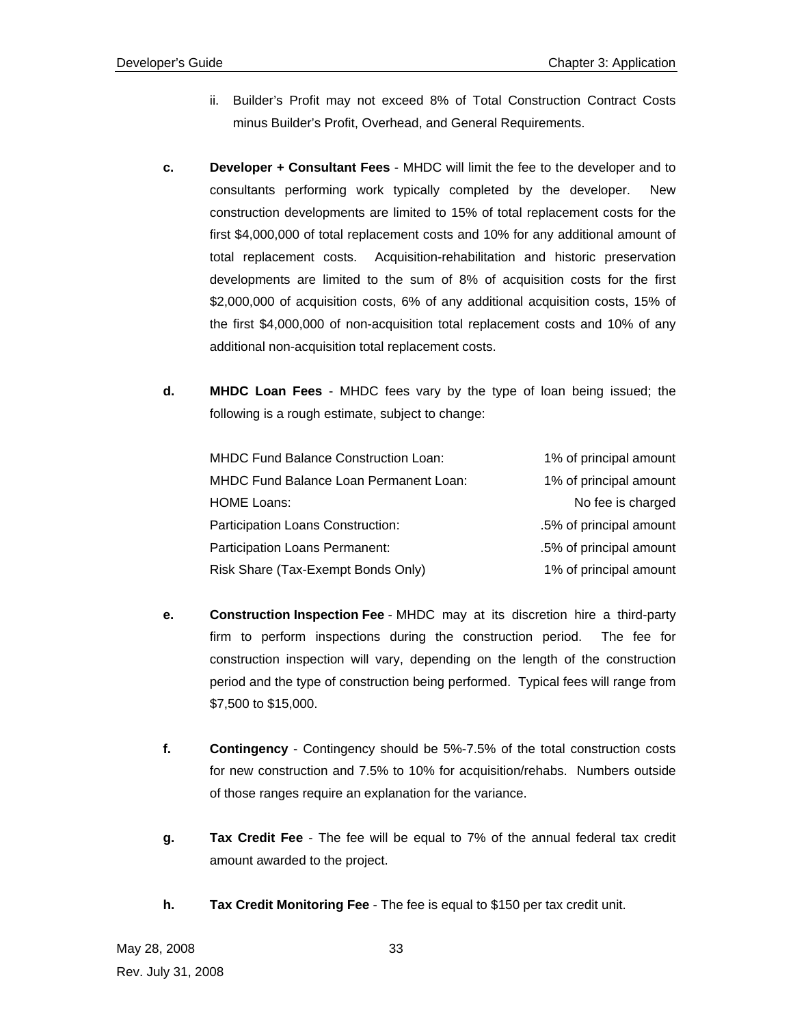- ii. Builder's Profit may not exceed 8% of Total Construction Contract Costs minus Builder's Profit, Overhead, and General Requirements.
- **c. Developer + Consultant Fees** MHDC will limit the fee to the developer and to consultants performing work typically completed by the developer. New construction developments are limited to 15% of total replacement costs for the first \$4,000,000 of total replacement costs and 10% for any additional amount of total replacement costs. Acquisition-rehabilitation and historic preservation developments are limited to the sum of 8% of acquisition costs for the first \$2,000,000 of acquisition costs, 6% of any additional acquisition costs, 15% of the first \$4,000,000 of non-acquisition total replacement costs and 10% of any additional non-acquisition total replacement costs.
- **d. MHDC Loan Fees**  MHDC fees vary by the type of loan being issued; the following is a rough estimate, subject to change:

| <b>MHDC Fund Balance Construction Loan:</b> | 1% of principal amount  |
|---------------------------------------------|-------------------------|
| MHDC Fund Balance Loan Permanent Loan:      | 1% of principal amount  |
| <b>HOME Loans:</b>                          | No fee is charged       |
| Participation Loans Construction:           | .5% of principal amount |
| Participation Loans Permanent:              | .5% of principal amount |
| Risk Share (Tax-Exempt Bonds Only)          | 1% of principal amount  |

- **e. Construction Inspection Fee** MHDC may at its discretion hire a third-party firm to perform inspections during the construction period. The fee for construction inspection will vary, depending on the length of the construction period and the type of construction being performed. Typical fees will range from \$7,500 to \$15,000.
- **f. Contingency** Contingency should be 5%-7.5% of the total construction costs for new construction and 7.5% to 10% for acquisition/rehabs. Numbers outside of those ranges require an explanation for the variance.
- **g. Tax Credit Fee** The fee will be equal to 7% of the annual federal tax credit amount awarded to the project.
- **h. Tax Credit Monitoring Fee** The fee is equal to \$150 per tax credit unit.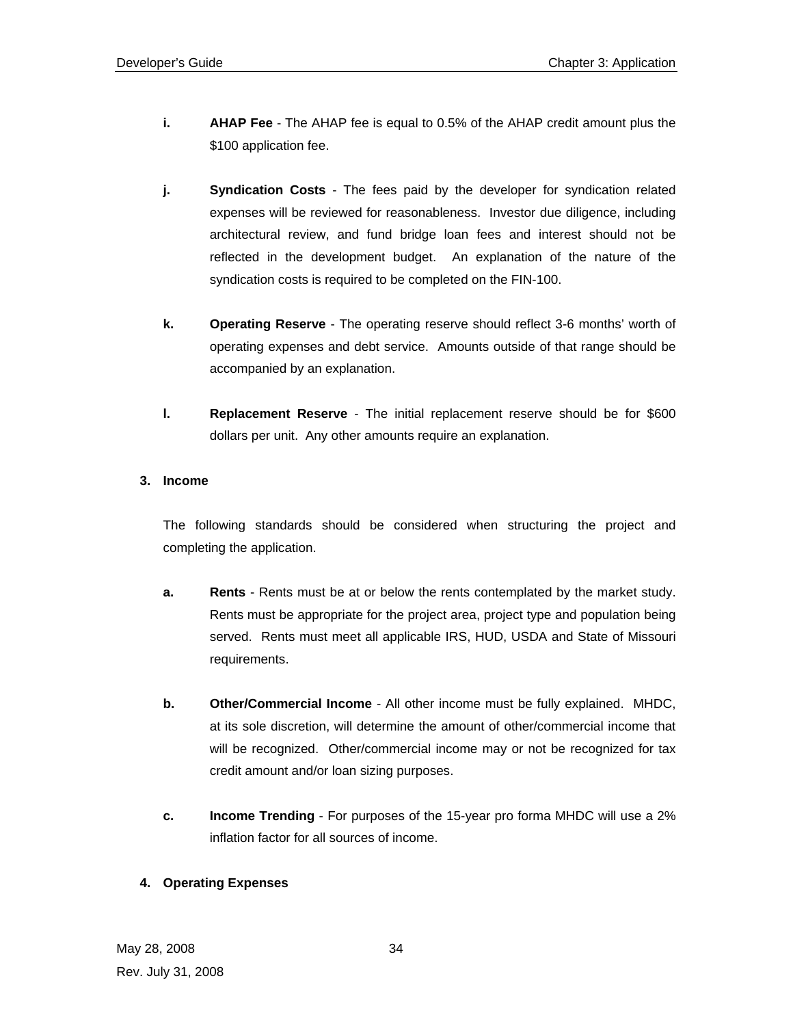- **i. AHAP Fee** The AHAP fee is equal to 0.5% of the AHAP credit amount plus the \$100 application fee.
- **j. Syndication Costs** The fees paid by the developer for syndication related expenses will be reviewed for reasonableness. Investor due diligence, including architectural review, and fund bridge loan fees and interest should not be reflected in the development budget. An explanation of the nature of the syndication costs is required to be completed on the FIN-100.
- **k. Operating Reserve** The operating reserve should reflect 3-6 months' worth of operating expenses and debt service. Amounts outside of that range should be accompanied by an explanation.
- **l. Replacement Reserve** The initial replacement reserve should be for \$600 dollars per unit. Any other amounts require an explanation.

## **3. Income**

The following standards should be considered when structuring the project and completing the application.

- **a.** Rents Rents must be at or below the rents contemplated by the market study. Rents must be appropriate for the project area, project type and population being served. Rents must meet all applicable IRS, HUD, USDA and State of Missouri requirements.
- **b. Other/Commercial Income** All other income must be fully explained. MHDC, at its sole discretion, will determine the amount of other/commercial income that will be recognized. Other/commercial income may or not be recognized for tax credit amount and/or loan sizing purposes.
- **c. Income Trending** For purposes of the 15-year pro forma MHDC will use a 2% inflation factor for all sources of income.

## **4. Operating Expenses**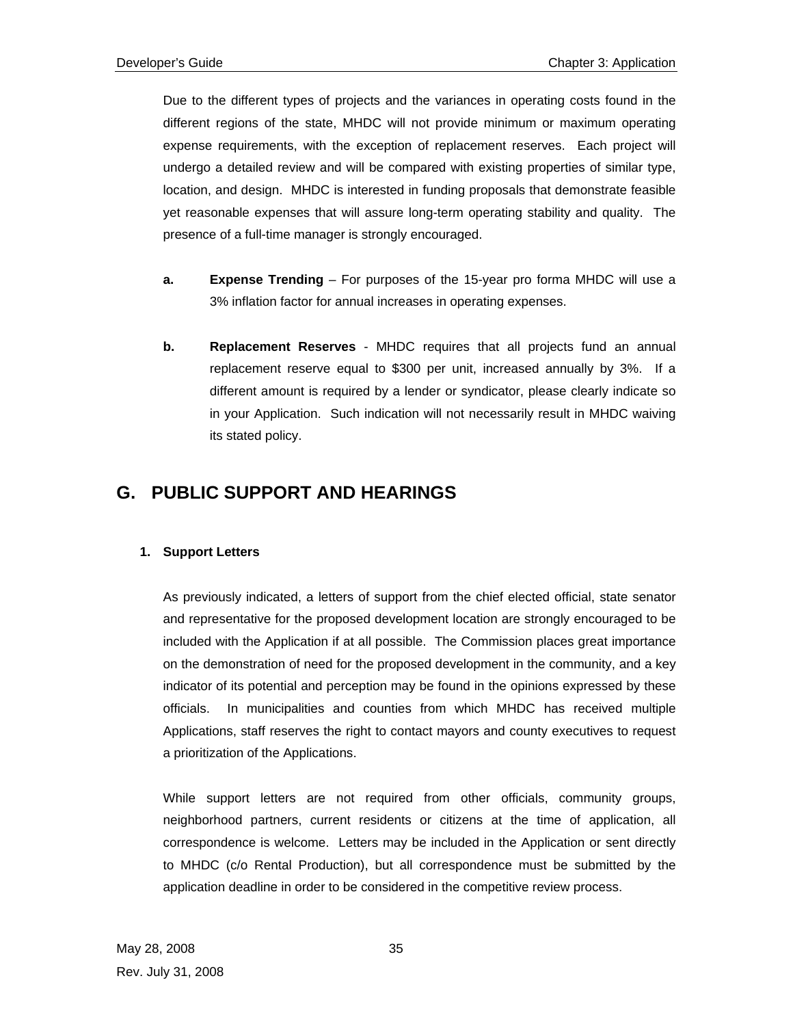Due to the different types of projects and the variances in operating costs found in the different regions of the state, MHDC will not provide minimum or maximum operating expense requirements, with the exception of replacement reserves. Each project will undergo a detailed review and will be compared with existing properties of similar type, location, and design. MHDC is interested in funding proposals that demonstrate feasible yet reasonable expenses that will assure long-term operating stability and quality. The presence of a full-time manager is strongly encouraged.

- **a. Expense Trending** For purposes of the 15-year pro forma MHDC will use a 3% inflation factor for annual increases in operating expenses.
- **b.** Replacement Reserves MHDC requires that all projects fund an annual replacement reserve equal to \$300 per unit, increased annually by 3%. If a different amount is required by a lender or syndicator, please clearly indicate so in your Application. Such indication will not necessarily result in MHDC waiving its stated policy.

## **G. PUBLIC SUPPORT AND HEARINGS**

## **1. Support Letters**

As previously indicated, a letters of support from the chief elected official, state senator and representative for the proposed development location are strongly encouraged to be included with the Application if at all possible. The Commission places great importance on the demonstration of need for the proposed development in the community, and a key indicator of its potential and perception may be found in the opinions expressed by these officials. In municipalities and counties from which MHDC has received multiple Applications, staff reserves the right to contact mayors and county executives to request a prioritization of the Applications.

While support letters are not required from other officials, community groups, neighborhood partners, current residents or citizens at the time of application, all correspondence is welcome. Letters may be included in the Application or sent directly to MHDC (c/o Rental Production), but all correspondence must be submitted by the application deadline in order to be considered in the competitive review process.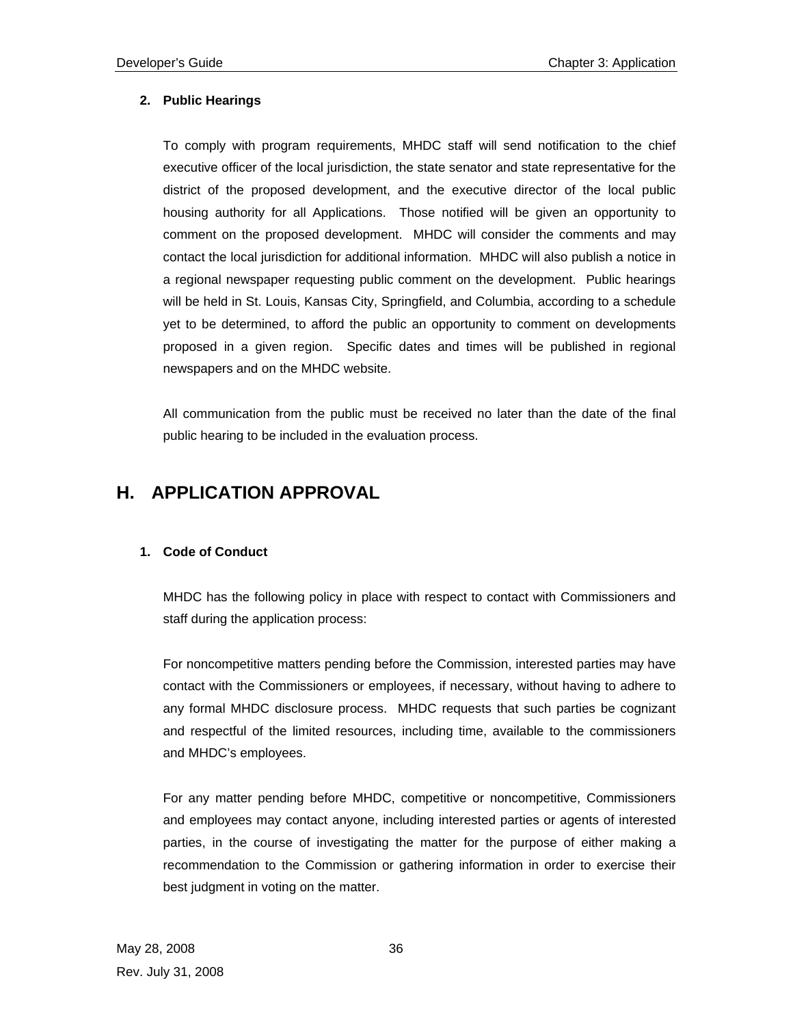## **2. Public Hearings**

To comply with program requirements, MHDC staff will send notification to the chief executive officer of the local jurisdiction, the state senator and state representative for the district of the proposed development, and the executive director of the local public housing authority for all Applications. Those notified will be given an opportunity to comment on the proposed development. MHDC will consider the comments and may contact the local jurisdiction for additional information. MHDC will also publish a notice in a regional newspaper requesting public comment on the development. Public hearings will be held in St. Louis, Kansas City, Springfield, and Columbia, according to a schedule yet to be determined, to afford the public an opportunity to comment on developments proposed in a given region. Specific dates and times will be published in regional newspapers and on the MHDC website.

All communication from the public must be received no later than the date of the final public hearing to be included in the evaluation process.

## **H. APPLICATION APPROVAL**

## **1. Code of Conduct**

MHDC has the following policy in place with respect to contact with Commissioners and staff during the application process:

For noncompetitive matters pending before the Commission, interested parties may have contact with the Commissioners or employees, if necessary, without having to adhere to any formal MHDC disclosure process. MHDC requests that such parties be cognizant and respectful of the limited resources, including time, available to the commissioners and MHDC's employees.

For any matter pending before MHDC, competitive or noncompetitive, Commissioners and employees may contact anyone, including interested parties or agents of interested parties, in the course of investigating the matter for the purpose of either making a recommendation to the Commission or gathering information in order to exercise their best judgment in voting on the matter.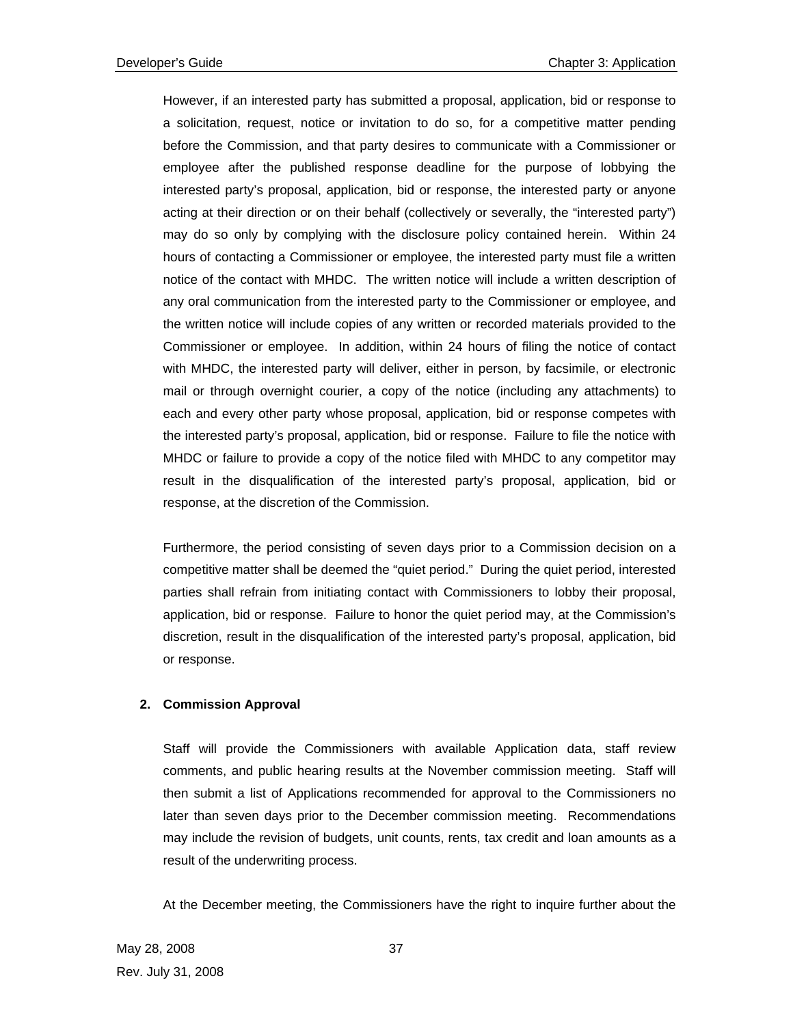However, if an interested party has submitted a proposal, application, bid or response to a solicitation, request, notice or invitation to do so, for a competitive matter pending before the Commission, and that party desires to communicate with a Commissioner or employee after the published response deadline for the purpose of lobbying the interested party's proposal, application, bid or response, the interested party or anyone acting at their direction or on their behalf (collectively or severally, the "interested party") may do so only by complying with the disclosure policy contained herein. Within 24 hours of contacting a Commissioner or employee, the interested party must file a written notice of the contact with MHDC. The written notice will include a written description of any oral communication from the interested party to the Commissioner or employee, and the written notice will include copies of any written or recorded materials provided to the Commissioner or employee. In addition, within 24 hours of filing the notice of contact with MHDC, the interested party will deliver, either in person, by facsimile, or electronic mail or through overnight courier, a copy of the notice (including any attachments) to each and every other party whose proposal, application, bid or response competes with the interested party's proposal, application, bid or response. Failure to file the notice with MHDC or failure to provide a copy of the notice filed with MHDC to any competitor may result in the disqualification of the interested party's proposal, application, bid or response, at the discretion of the Commission.

Furthermore, the period consisting of seven days prior to a Commission decision on a competitive matter shall be deemed the "quiet period." During the quiet period, interested parties shall refrain from initiating contact with Commissioners to lobby their proposal, application, bid or response. Failure to honor the quiet period may, at the Commission's discretion, result in the disqualification of the interested party's proposal, application, bid or response.

## **2. Commission Approval**

Staff will provide the Commissioners with available Application data, staff review comments, and public hearing results at the November commission meeting. Staff will then submit a list of Applications recommended for approval to the Commissioners no later than seven days prior to the December commission meeting. Recommendations may include the revision of budgets, unit counts, rents, tax credit and loan amounts as a result of the underwriting process.

At the December meeting, the Commissioners have the right to inquire further about the